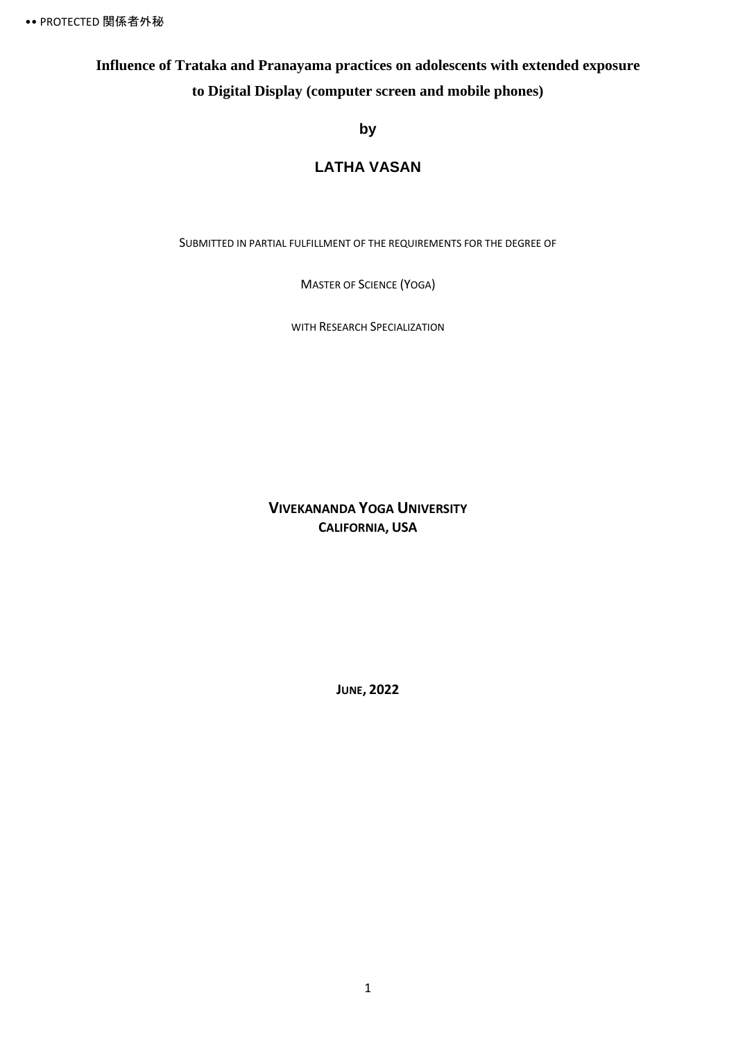## **Influence of Trataka and Pranayama practices on adolescents with extended exposure to Digital Display (computer screen and mobile phones)**

### **by**

### **LATHA VASAN**

SUBMITTED IN PARTIAL FULFILLMENT OF THE REQUIREMENTS FOR THE DEGREE OF

MASTER OF SCIENCE (YOGA)

WITH RESEARCH SPECIALIZATION

**VIVEKANANDA YOGA UNIVERSITY CALIFORNIA, USA**

**JUNE, 2022**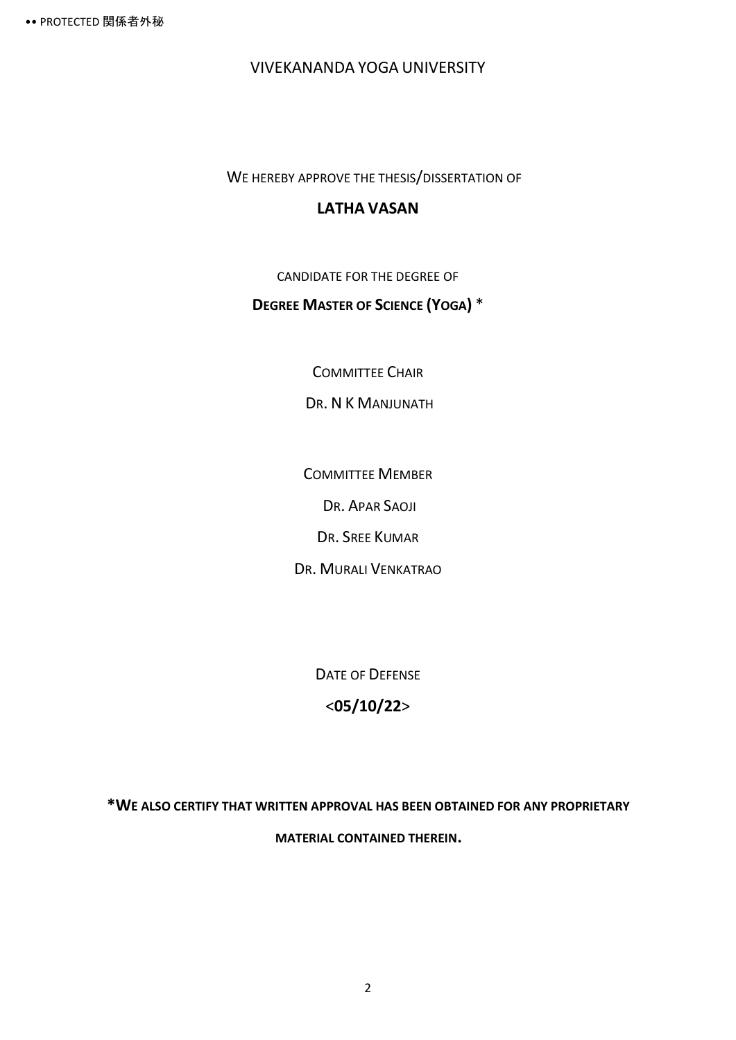VIVEKANANDA YOGA UNIVERSITY

WE HEREBY APPROVE THE THESIS/DISSERTATION OF

### **LATHA VASAN**

CANDIDATE FOR THE DEGREE OF

### **DEGREE MASTER OF SCIENCE (YOGA)** \*

COMMITTEE CHAIR

DR. N K MANJUNATH

COMMITTEE MEMBER

DR. APAR SAOJI

DR. SREE KUMAR

DR. MURALI VENKATRAO

DATE OF DEFENSE

### <**05/10/22**>

**\*WE ALSO CERTIFY THAT WRITTEN APPROVAL HAS BEEN OBTAINED FOR ANY PROPRIETARY MATERIAL CONTAINED THEREIN.**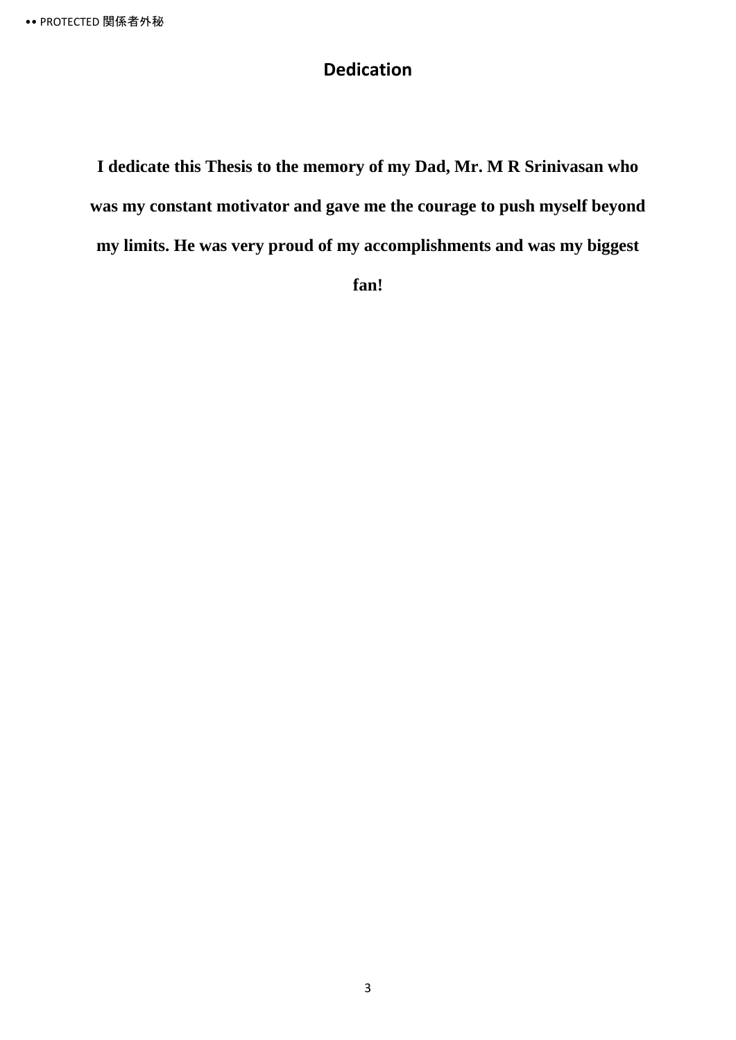# **Dedication**

**I dedicate this Thesis to the memory of my Dad, Mr. M R Srinivasan who was my constant motivator and gave me the courage to push myself beyond my limits. He was very proud of my accomplishments and was my biggest** 

**fan!**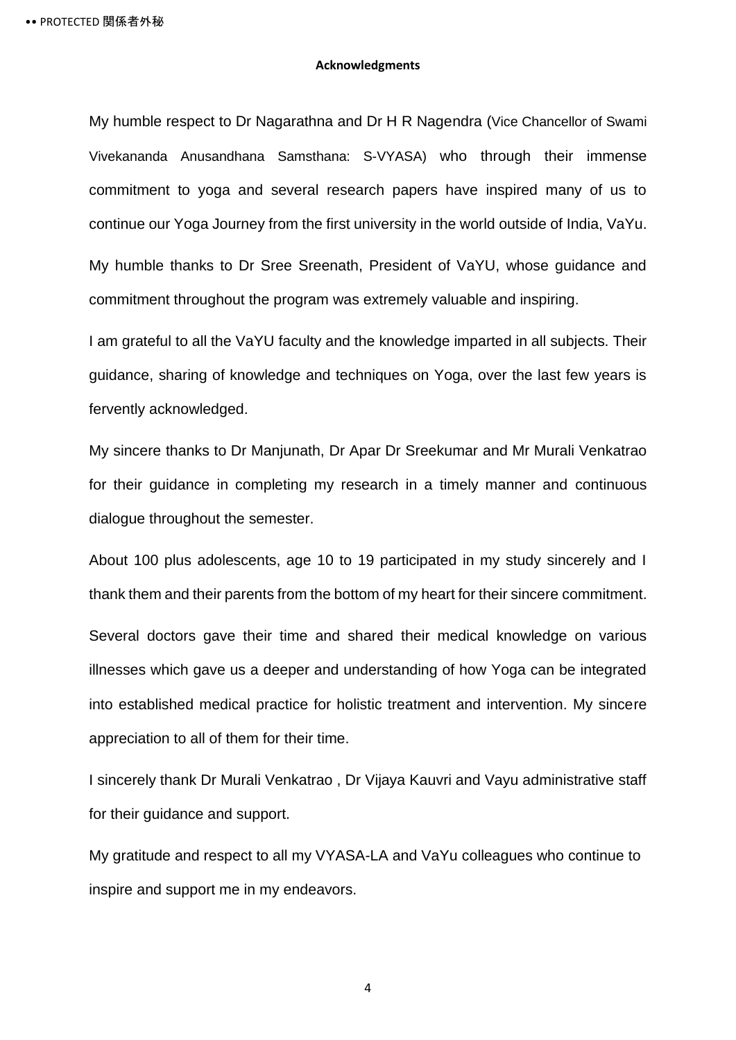#### **Acknowledgments**

My humble respect to Dr Nagarathna and Dr H R Nagendra (Vice Chancellor of Swami Vivekananda Anusandhana Samsthana: S-VYASA) who through their immense commitment to yoga and several research papers have inspired many of us to continue our Yoga Journey from the first university in the world outside of India, VaYu. My humble thanks to Dr Sree Sreenath, President of VaYU, whose guidance and commitment throughout the program was extremely valuable and inspiring.

I am grateful to all the VaYU faculty and the knowledge imparted in all subjects. Their guidance, sharing of knowledge and techniques on Yoga, over the last few years is fervently acknowledged.

My sincere thanks to Dr Manjunath, Dr Apar Dr Sreekumar and Mr Murali Venkatrao for their guidance in completing my research in a timely manner and continuous dialogue throughout the semester.

About 100 plus adolescents, age 10 to 19 participated in my study sincerely and I thank them and their parents from the bottom of my heart for their sincere commitment. Several doctors gave their time and shared their medical knowledge on various illnesses which gave us a deeper and understanding of how Yoga can be integrated into established medical practice for holistic treatment and intervention. My sincere appreciation to all of them for their time.

I sincerely thank Dr Murali Venkatrao , Dr Vijaya Kauvri and Vayu administrative staff for their guidance and support.

My gratitude and respect to all my VYASA-LA and VaYu colleagues who continue to inspire and support me in my endeavors.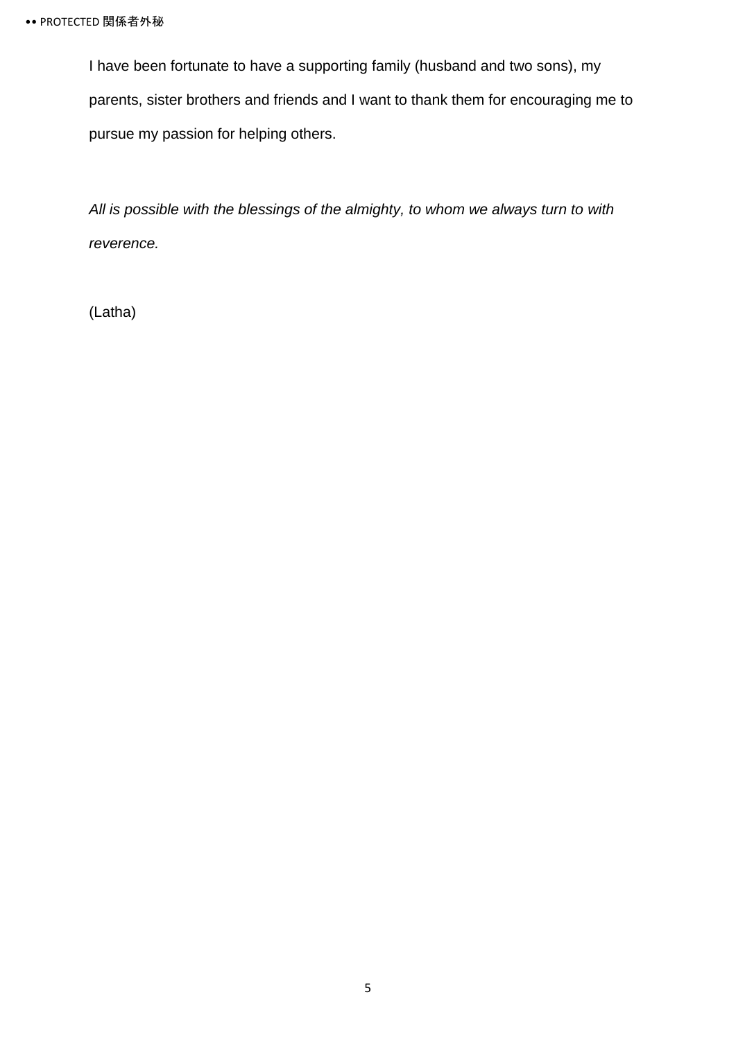I have been fortunate to have a supporting family (husband and two sons), my parents, sister brothers and friends and I want to thank them for encouraging me to pursue my passion for helping others.

*All is possible with the blessings of the almighty, to whom we always turn to with reverence.*

(Latha)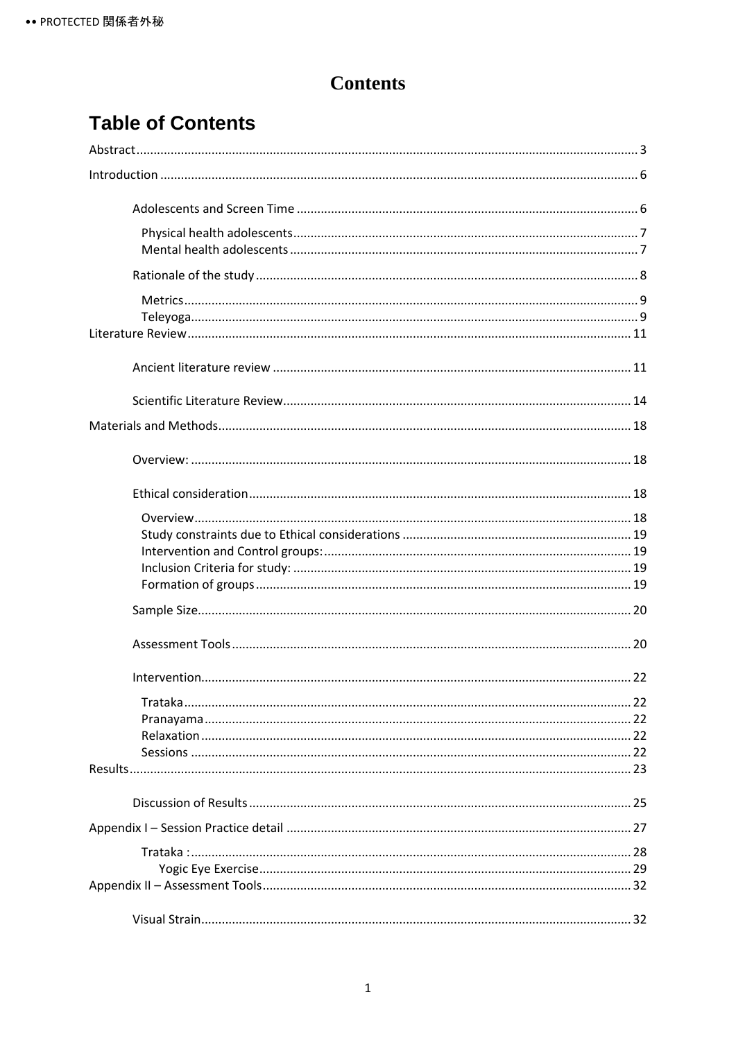# **Contents**

# **Table of Contents**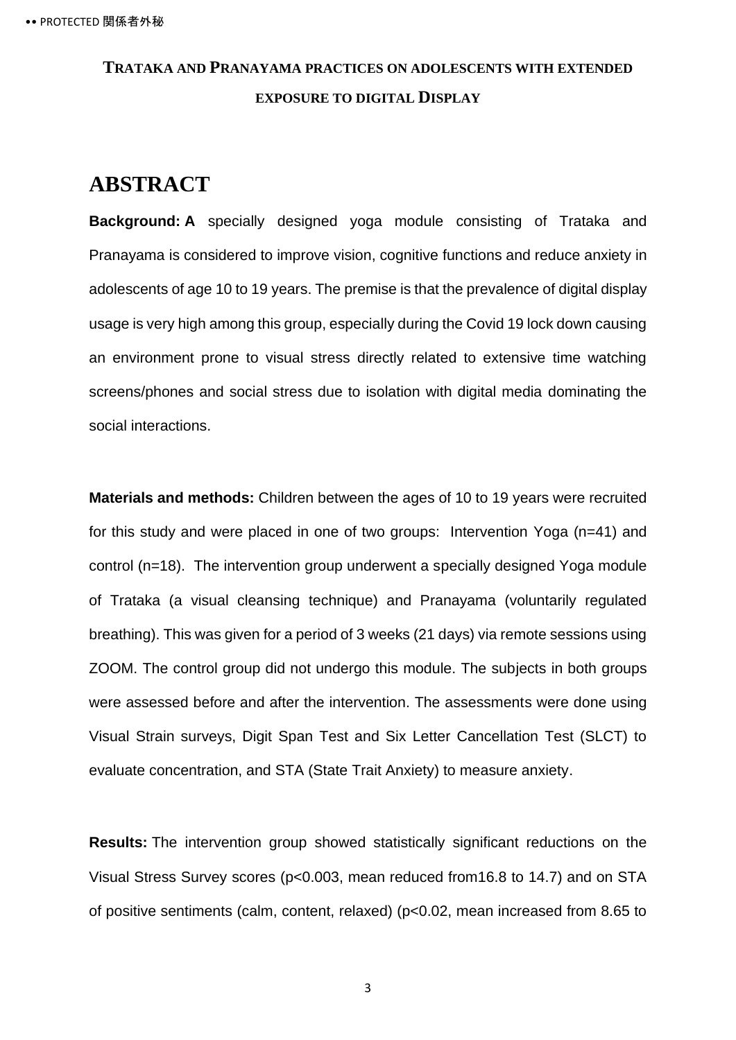# **TRATAKA AND PRANAYAMA PRACTICES ON ADOLESCENTS WITH EXTENDED EXPOSURE TO DIGITAL DISPLAY**

# <span id="page-7-0"></span>**ABSTRACT**

**Background: A** specially designed yoga module consisting of Trataka and Pranayama is considered to improve vision, cognitive functions and reduce anxiety in adolescents of age 10 to 19 years. The premise is that the prevalence of digital display usage is very high among this group, especially during the Covid 19 lock down causing an environment prone to visual stress directly related to extensive time watching screens/phones and social stress due to isolation with digital media dominating the social interactions.

**Materials and methods:** Children between the ages of 10 to 19 years were recruited for this study and were placed in one of two groups: Intervention Yoga (n=41) and control (n=18). The intervention group underwent a specially designed Yoga module of Trataka (a visual cleansing technique) and Pranayama (voluntarily regulated breathing). This was given for a period of 3 weeks (21 days) via remote sessions using ZOOM. The control group did not undergo this module. The subjects in both groups were assessed before and after the intervention. The assessments were done using Visual Strain surveys, Digit Span Test and Six Letter Cancellation Test (SLCT) to evaluate concentration, and STA (State Trait Anxiety) to measure anxiety.

**Results:** The intervention group showed statistically significant reductions on the Visual Stress Survey scores (p<0.003, mean reduced from16.8 to 14.7) and on STA of positive sentiments (calm, content, relaxed) (p<0.02, mean increased from 8.65 to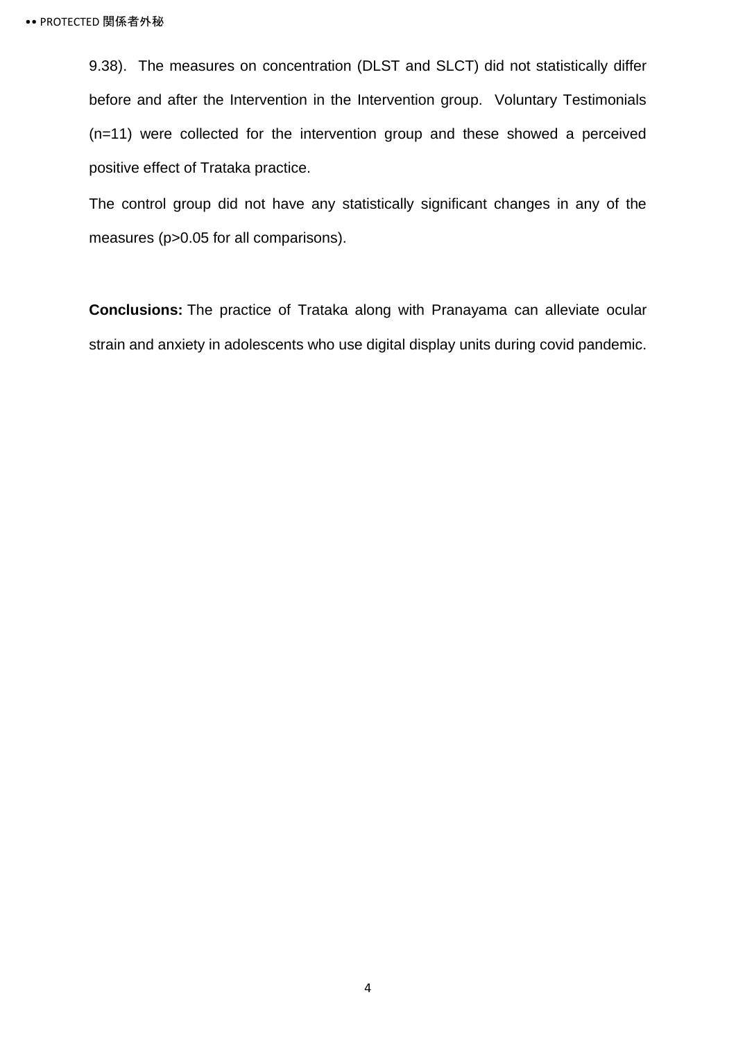9.38). The measures on concentration (DLST and SLCT) did not statistically differ before and after the Intervention in the Intervention group. Voluntary Testimonials (n=11) were collected for the intervention group and these showed a perceived positive effect of Trataka practice.

The control group did not have any statistically significant changes in any of the measures (p>0.05 for all comparisons).

**Conclusions:** The practice of Trataka along with Pranayama can alleviate ocular strain and anxiety in adolescents who use digital display units during covid pandemic.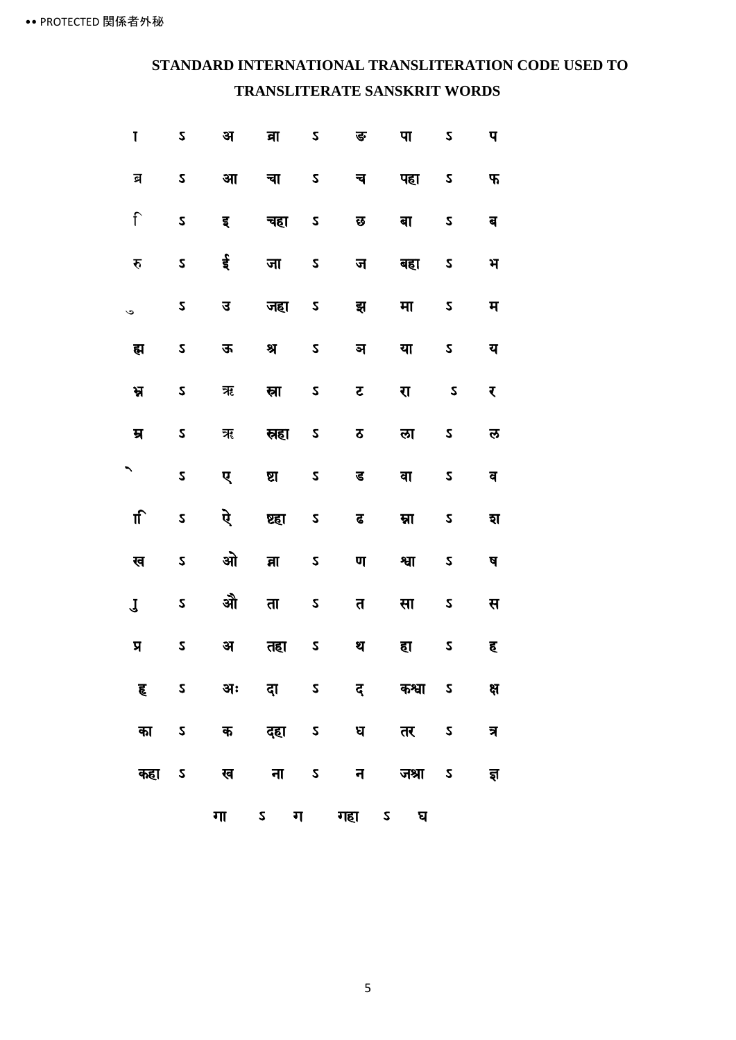## **STANDARD INTERNATIONAL TRANSLITERATION CODE USED TO TRANSLITERATE SANSKRIT WORDS**

| Ţ                       | 2                 | अ  | वा           | $\boldsymbol{z}$        | ङ   | पा     | 2                        | प   |
|-------------------------|-------------------|----|--------------|-------------------------|-----|--------|--------------------------|-----|
| ন্ন                     | $\boldsymbol{z}$  | आ  | चा           | $\boldsymbol{z}$        | च   | पहा    | 2                        | Ъ,  |
| $\hat{\mathsf{I}}$      | $\mathsf{z}$      | इ  | चहा          | $\boldsymbol{z}$        | छ   | बा     | 2                        | ब   |
| रु                      | $\mathsf{z}$      | ई  | जा           | 2                       | ज   | बहा    | 2                        | भ   |
| $\check{\phantom{0}}$   | $\mathsf{z}$      | उ  | जहा          | $\mathsf{z}$            | झ्  | मा     | 2                        | म   |
| ह्म                     | 2                 | ऊ  | श्र          | $\overline{\mathsf{S}}$ | ञ   | या     | $\overline{\mathsf{S}}$  | य   |
| ਮ੍ਹ                     | 2                 | ऋ  | स्रा         | $\boldsymbol{z}$        | ट   | रा     | $\boldsymbol{z}$         | ₹   |
| म्र                     | $\boldsymbol{z}$  | ॠ  | स्रहा        | $\pmb{\mathsf{S}}$      | ठ   | ला     | 2                        | ਲ   |
| ↖                       | 2                 | ए  | ष्ठा         | $\boldsymbol{z}$        | ड   | वा     | 2                        | व   |
| ा                       | 2                 | ऐ  | ष्ट्य        | 2                       | ढ   | म्ना   | 2                        | হা  |
| ख                       | $\boldsymbol{z}$  | ओ  | व्रा         | $\boldsymbol{z}$        | ण   | श्वा   | 2                        | ष   |
| $\mathbf J$             | 2                 | औ  | ता           | $\boldsymbol{z}$        | त   | सा     | 2                        | स   |
| $\overline{\mathbf{z}}$ | $\boldsymbol{z}$  | अ  | तहा          | $\boldsymbol{z}$        | थ   | हा     | 2                        | ह   |
| ह                       | $\mathsf{z}$      | अः | दा           | $\sqrt{2}$              | द्  | कश्वा  | $\overline{\phantom{0}}$ | क्ष |
| का                      | 2                 | क  | दहा          | $\mathsf{z}$            | ध   | तर     | $\boldsymbol{z}$         | त्र |
| कहा                     | $\pmb{\mathsf S}$ | ख  | ना           | $\mathsf{z}$            | न ज | जश्रा  | 2                        | ৱ   |
|                         |                   | गा | $\mathsf{z}$ | ग                       | गहा | 2<br>घ |                          |     |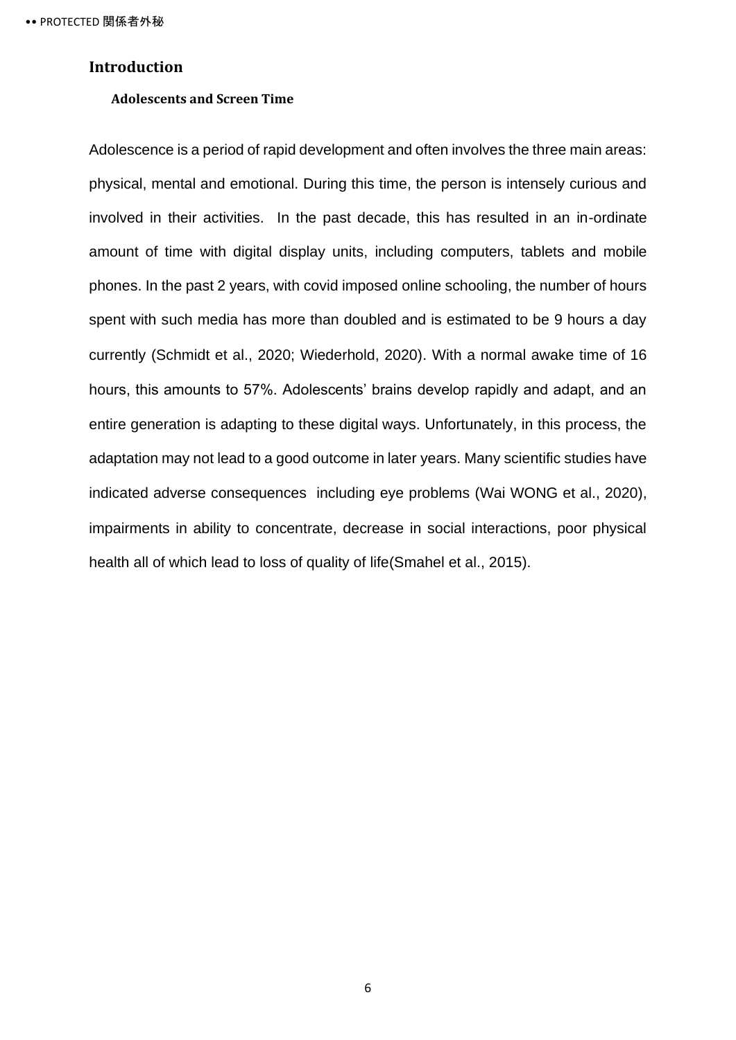### <span id="page-10-1"></span><span id="page-10-0"></span>**Introduction**

#### **Adolescents and Screen Time**

Adolescence is a period of rapid development and often involves the three main areas: physical, mental and emotional. During this time, the person is intensely curious and involved in their activities. In the past decade, this has resulted in an in-ordinate amount of time with digital display units, including computers, tablets and mobile phones. In the past 2 years, with covid imposed online schooling, the number of hours spent with such media has more than doubled and is estimated to be 9 hours a day currently (Schmidt et al., 2020; Wiederhold, 2020). With a normal awake time of 16 hours, this amounts to 57%. Adolescents' brains develop rapidly and adapt, and an entire generation is adapting to these digital ways. Unfortunately, in this process, the adaptation may not lead to a good outcome in later years. Many scientific studies have indicated adverse consequences including eye problems (Wai WONG et al., 2020), impairments in ability to concentrate, decrease in social interactions, poor physical health all of which lead to loss of quality of life(Smahel et al., 2015).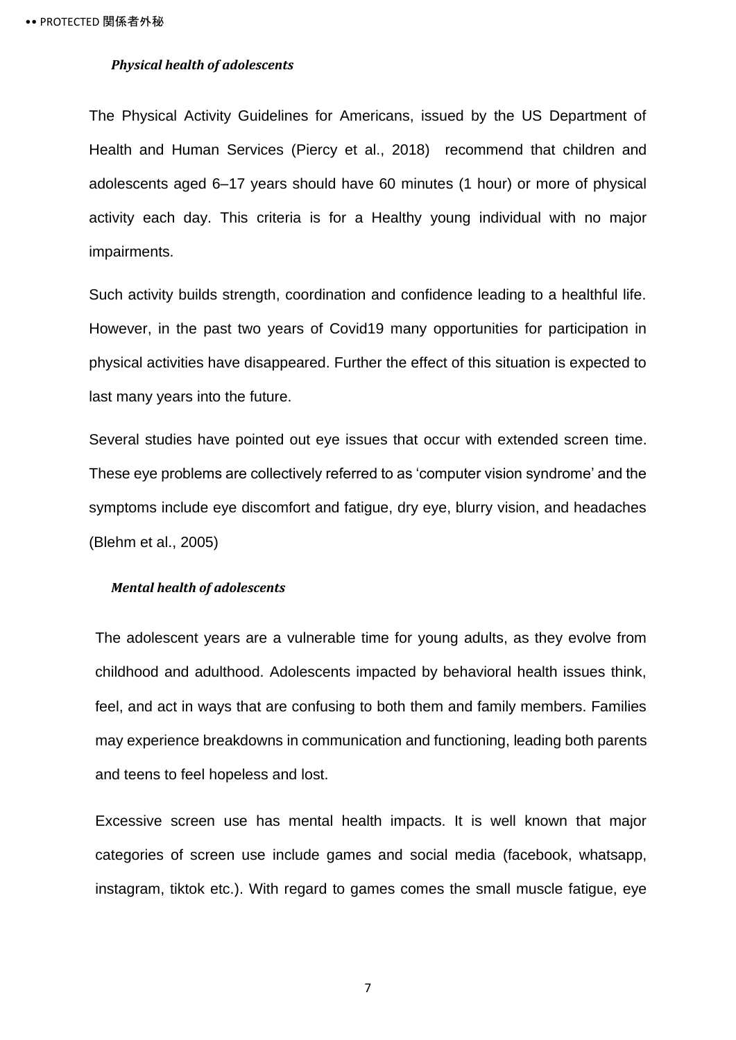#### <span id="page-11-0"></span>*Physical health of adolescents*

The Physical Activity Guidelines for Americans, issued by the US Department of Health and Human Services (Piercy et al., 2018) recommend that children and adolescents aged 6–17 years should have 60 minutes (1 hour) or more of physical activity each day. This criteria is for a Healthy young individual with no major impairments.

Such activity builds strength, coordination and confidence leading to a healthful life. However, in the past two years of Covid19 many opportunities for participation in physical activities have disappeared. Further the effect of this situation is expected to last many years into the future.

Several studies have pointed out eye issues that occur with extended screen time. These eye problems are collectively referred to as 'computer vision syndrome' and the symptoms include eye discomfort and fatigue, dry eye, blurry vision, and headaches (Blehm et al., 2005)

### <span id="page-11-1"></span>*Mental health of adolescents*

The adolescent years are a vulnerable time for young adults, as they evolve from childhood and adulthood. Adolescents impacted by behavioral health issues think, feel, and act in ways that are confusing to both them and family members. Families may experience breakdowns in communication and functioning, leading both parents and teens to feel hopeless and lost.

Excessive screen use has mental health impacts. It is well known that major categories of screen use include games and social media (facebook, whatsapp, instagram, tiktok etc.). With regard to games comes the small muscle fatigue, eye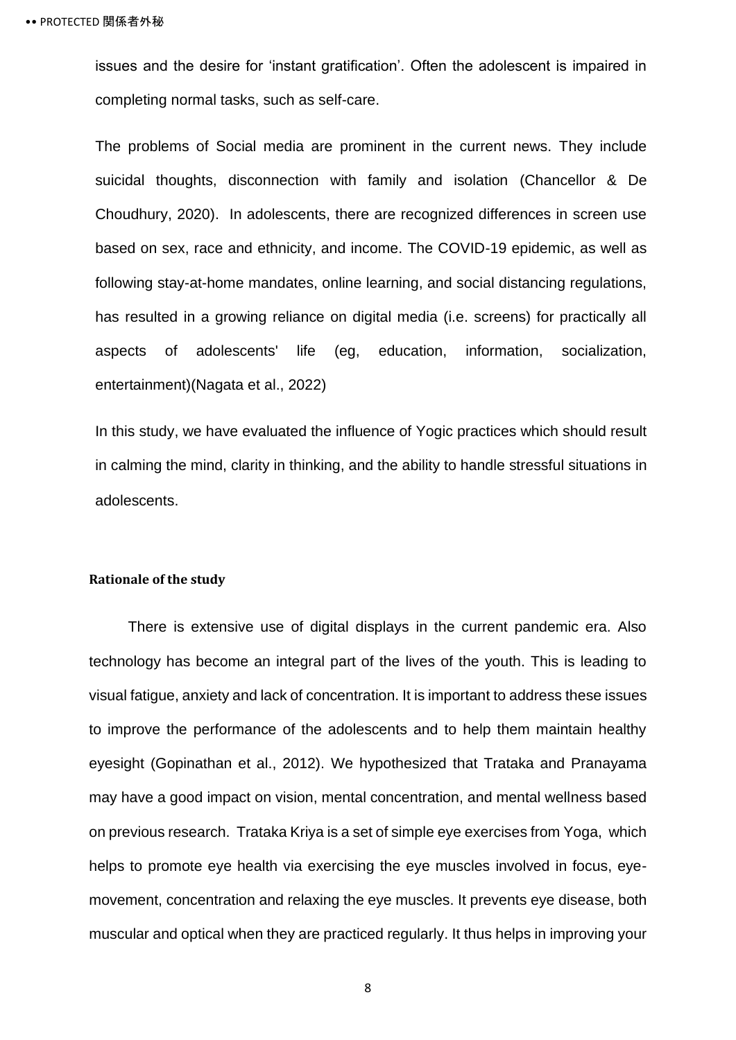issues and the desire for 'instant gratification'. Often the adolescent is impaired in completing normal tasks, such as self-care.

The problems of Social media are prominent in the current news. They include suicidal thoughts, disconnection with family and isolation (Chancellor & De Choudhury, 2020). In adolescents, there are recognized differences in screen use based on sex, race and ethnicity, and income. The COVID-19 epidemic, as well as following stay-at-home mandates, online learning, and social distancing regulations, has resulted in a growing reliance on digital media (i.e. screens) for practically all aspects of adolescents' life (eg, education, information, socialization, entertainment)(Nagata et al., 2022)

In this study, we have evaluated the influence of Yogic practices which should result in calming the mind, clarity in thinking, and the ability to handle stressful situations in adolescents.

#### <span id="page-12-0"></span>**Rationale of the study**

There is extensive use of digital displays in the current pandemic era. Also technology has become an integral part of the lives of the youth. This is leading to visual fatigue, anxiety and lack of concentration. It is important to address these issues to improve the performance of the adolescents and to help them maintain healthy eyesight (Gopinathan et al., 2012). We hypothesized that Trataka and Pranayama may have a good impact on vision, mental concentration, and mental wellness based on previous research. Trataka Kriya is a set of simple eye exercises from Yoga, which helps to promote eye health via exercising the eye muscles involved in focus, eyemovement, concentration and relaxing the eye muscles. It prevents eye disease, both muscular and optical when they are practiced regularly. It thus helps in improving your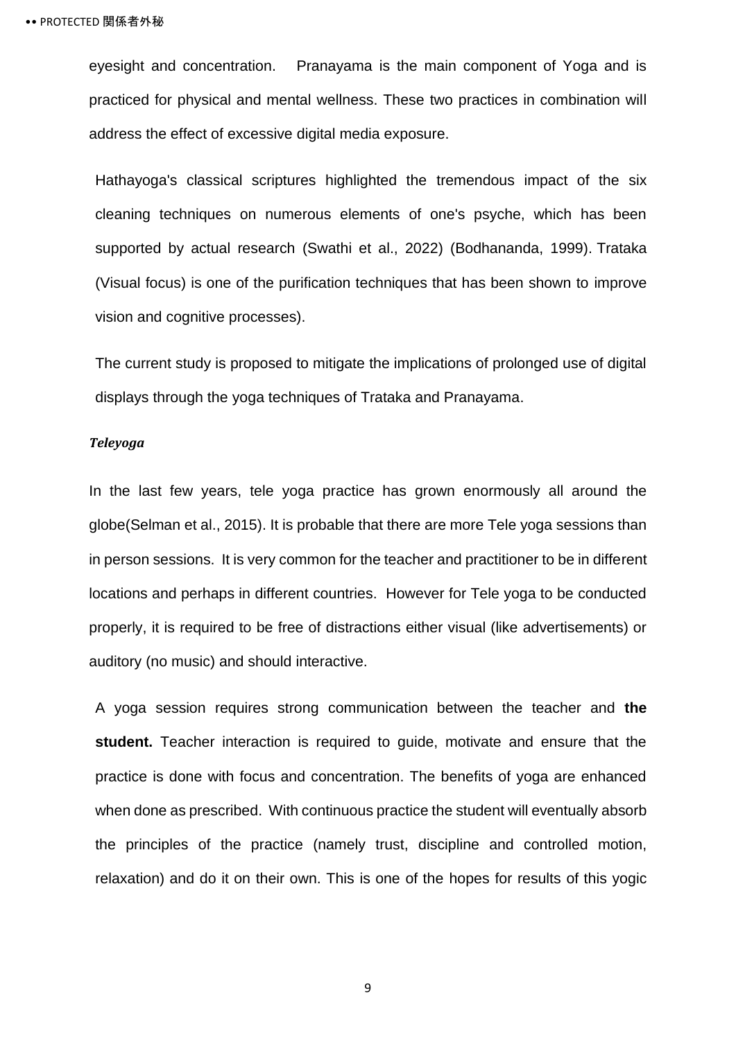eyesight and concentration. Pranayama is the main component of Yoga and is practiced for physical and mental wellness. These two practices in combination will address the effect of excessive digital media exposure.

Hathayoga's classical scriptures highlighted the tremendous impact of the six cleaning techniques on numerous elements of one's psyche, which has been supported by actual research (Swathi et al., 2022) (Bodhananda, 1999). Trataka (Visual focus) is one of the purification techniques that has been shown to improve vision and cognitive processes).

The current study is proposed to mitigate the implications of prolonged use of digital displays through the yoga techniques of Trataka and Pranayama.

#### <span id="page-13-0"></span>*Teleyoga*

In the last few years, tele yoga practice has grown enormously all around the globe(Selman et al., 2015). It is probable that there are more Tele yoga sessions than in person sessions. It is very common for the teacher and practitioner to be in different locations and perhaps in different countries. However for Tele yoga to be conducted properly, it is required to be free of distractions either visual (like advertisements) or auditory (no music) and should interactive.

A yoga session requires strong communication between the teacher and **the student.** Teacher interaction is required to guide, motivate and ensure that the practice is done with focus and concentration. The benefits of yoga are enhanced when done as prescribed. With continuous practice the student will eventually absorb the principles of the practice (namely trust, discipline and controlled motion, relaxation) and do it on their own. This is one of the hopes for results of this yogic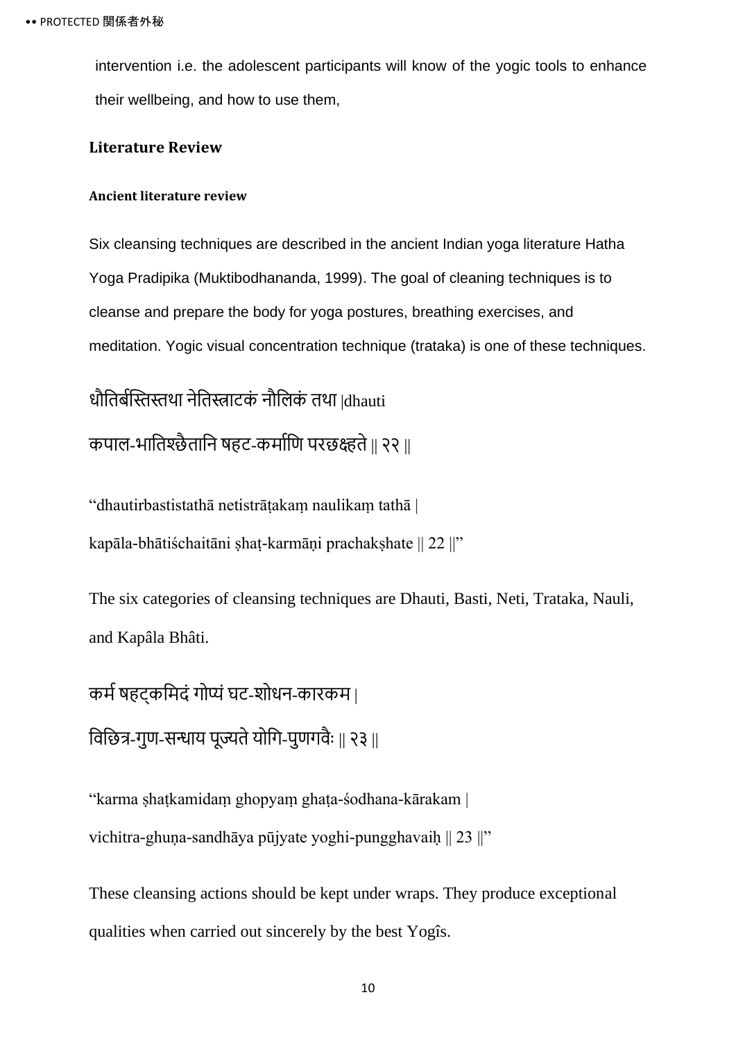intervention i.e. the adolescent participants will know of the yogic tools to enhance their wellbeing, and how to use them,

### <span id="page-14-0"></span>**Literature Review**

### <span id="page-14-1"></span>**Ancient literature review**

Six cleansing techniques are described in the ancient Indian yoga literature Hatha Yoga Pradipika (Muktibodhananda, 1999). The goal of cleaning techniques is to cleanse and prepare the body for yoga postures, breathing exercises, and meditation. Yogic visual concentration technique (trataka) is one of these techniques.

धौतिर्बस्तिस्तथा नेतिस्त्राटकं नौलिकं तथा |dhauti कपाल-भातिश्छैतानि षहट-कर्माणि परछक्ष्हते || २२ ||

"dhautirbastistathā netistrāṭakaṃ naulikaṃ tathā |

kapāla-bhātiśchaitāni shat-karmāni prachakshate || 22 ||"

The six categories of cleansing techniques are Dhauti, Basti, Neti, Trataka, Nauli, and Kapâla Bhâti.

कर्म षहट्कमिदं गोप्यं घट-शोधन-कारकम् | विछित्र-गुण-सन्धाय पूज्यते योगि-पुणगवैः || २३ ||

"karma ṣhaṭkamidaṃ ghopyaṃ ghaṭa-śodhana-kārakam | vichitra-ghuṇa-sandhāya pūjyate yoghi-pungghavaiḥ || 23 ||"

These cleansing actions should be kept under wraps. They produce exceptional qualities when carried out sincerely by the best Yogîs.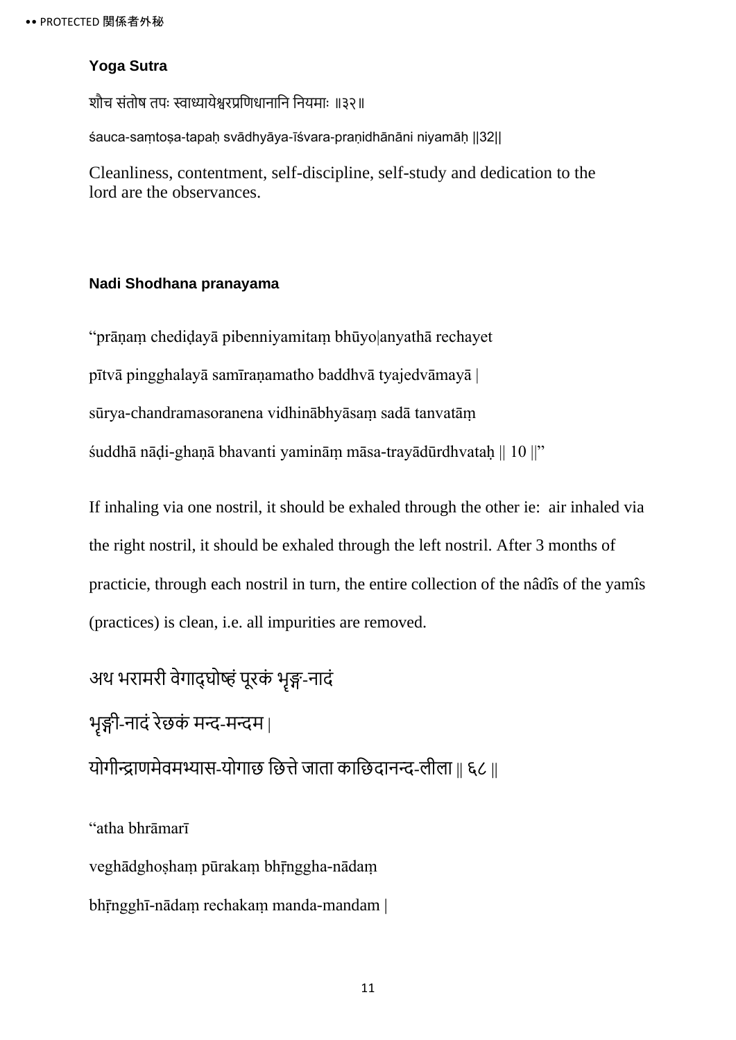### **Yoga Sutra**

शौच संतोष तपः स्वाध्यायेश्वरप्रणिधानानि नियमाः ॥३२॥

śauca-saṃtoṣa-tapaḥ svādhyāya-īśvara-praṇidhānāni niyamāḥ ||32||

Cleanliness, contentment, self-discipline, self-study and dedication to the lord are the observances.

### **Nadi Shodhana pranayama**

"prāṇaṃ chediḍayā pibenniyamitaṃ bhūyo|anyathā rechayet pītvā pingghalayā samīraṇamatho baddhvā tyajedvāmayā | sūrya-chandramasoranena vidhinābhyāsaṃ sadā tanvatāṃ śuddhā nāḍi-ghaṇā bhavanti yamināṃ māsa-trayādūrdhvataḥ || 10 ||"

If inhaling via one nostril, it should be exhaled through the other ie: air inhaled via the right nostril, it should be exhaled through the left nostril. After 3 months of practicie, through each nostril in turn, the entire collection of the nâdîs of the yamîs (practices) is clean, i.e. all impurities are removed.

अथ भरामरी वेगाद्घोष्हं पूरकं भृङ्ग-नादं भृङ्गी-नादं रेछकं मन्द-मन्दम | योगीन्द्राणमेवमभ्यास-योगाछ छित्ते जाता काछिदानन्द-लीला || ६८ ||

"atha bhrāmarī

veghādghoṣhaṃ pūrakaṃ bhr̄nggha-nādam

bhrīngghī-nādam rechakam manda-mandam |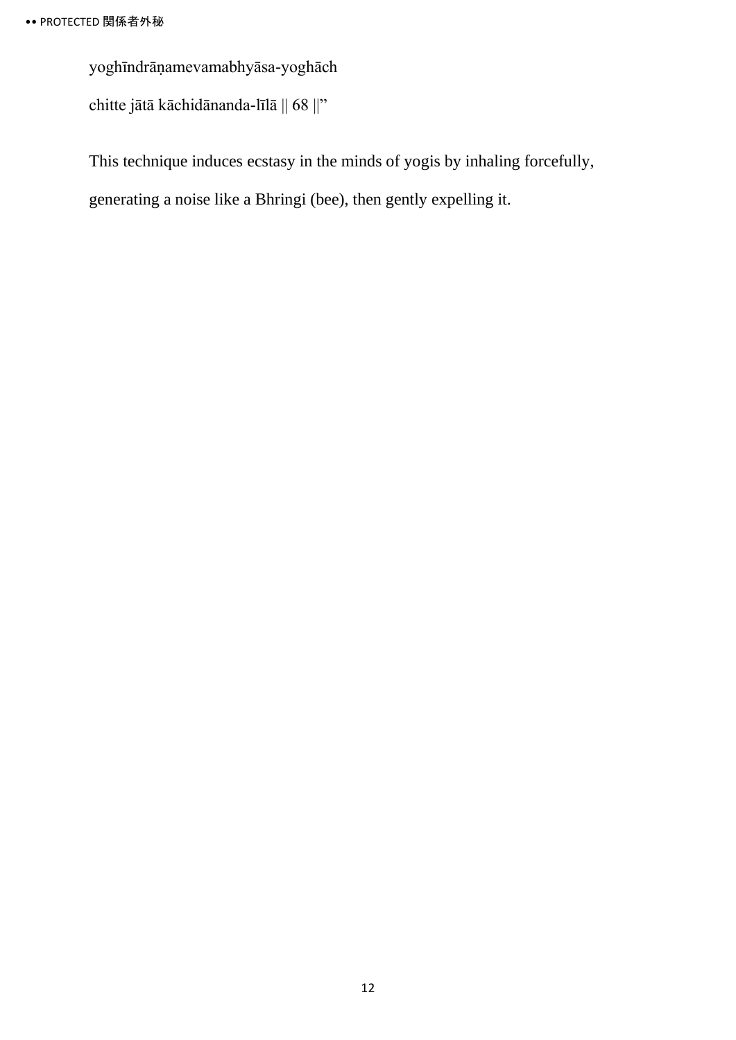yoghīndrāṇamevamabhyāsa-yoghāch

chitte jātā kāchidānanda-līlā || 68 ||"

This technique induces ecstasy in the minds of yogis by inhaling forcefully,

generating a noise like a Bhringi (bee), then gently expelling it.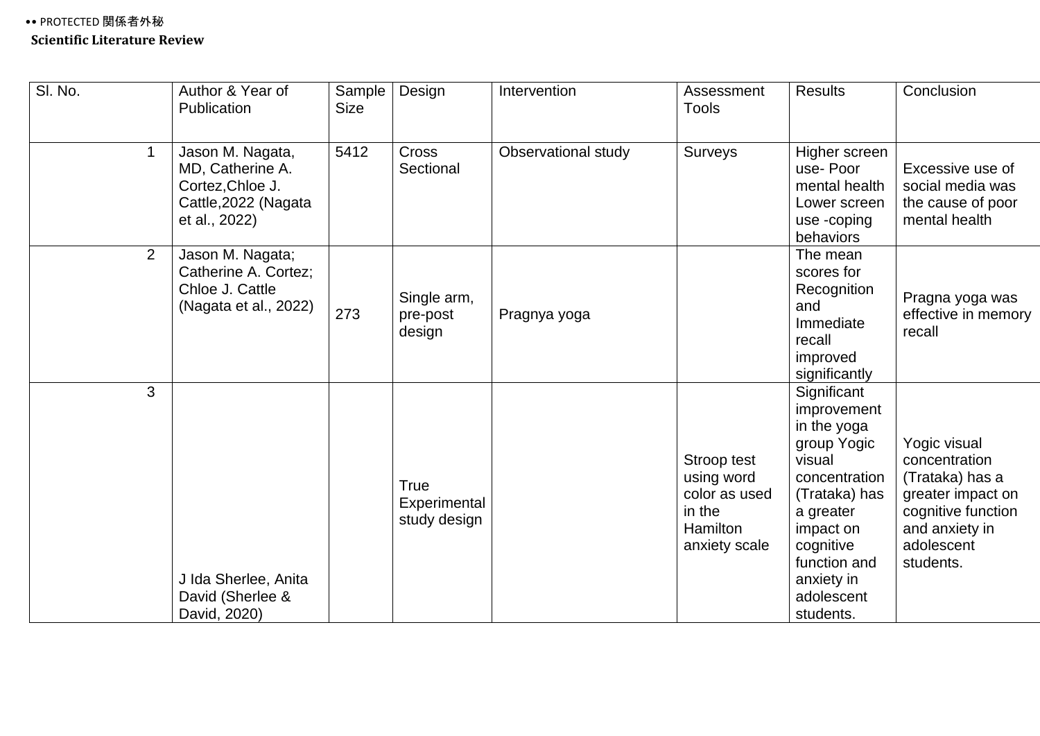<span id="page-17-0"></span>

| SI. No.        | Author & Year of<br>Publication                                                                   | Sample<br><b>Size</b> | Design                               | Intervention        | Assessment<br><b>Tools</b>                                                        | <b>Results</b>                                                                                                                                                                                       | Conclusion                                                                                                                               |
|----------------|---------------------------------------------------------------------------------------------------|-----------------------|--------------------------------------|---------------------|-----------------------------------------------------------------------------------|------------------------------------------------------------------------------------------------------------------------------------------------------------------------------------------------------|------------------------------------------------------------------------------------------------------------------------------------------|
| $\mathbf{1}$   | Jason M. Nagata,<br>MD, Catherine A.<br>Cortez, Chloe J.<br>Cattle, 2022 (Nagata<br>et al., 2022) | 5412                  | <b>Cross</b><br>Sectional            | Observational study | Surveys                                                                           | Higher screen<br>use-Poor<br>mental health<br>Lower screen<br>use -coping<br>behaviors                                                                                                               | Excessive use of<br>social media was<br>the cause of poor<br>mental health                                                               |
| $\overline{2}$ | Jason M. Nagata;<br>Catherine A. Cortez;<br>Chloe J. Cattle<br>(Nagata et al., 2022)              | 273                   | Single arm,<br>pre-post<br>design    | Pragnya yoga        |                                                                                   | The mean<br>scores for<br>Recognition<br>and<br>Immediate<br>recall<br>improved<br>significantly                                                                                                     | Pragna yoga was<br>effective in memory<br>recall                                                                                         |
| 3              | J Ida Sherlee, Anita<br>David (Sherlee &<br>David, 2020)                                          |                       | True<br>Experimental<br>study design |                     | Stroop test<br>using word<br>color as used<br>in the<br>Hamilton<br>anxiety scale | Significant<br>improvement<br>in the yoga<br>group Yogic<br>visual<br>concentration<br>(Trataka) has<br>a greater<br>impact on<br>cognitive<br>function and<br>anxiety in<br>adolescent<br>students. | Yogic visual<br>concentration<br>(Trataka) has a<br>greater impact on<br>cognitive function<br>and anxiety in<br>adolescent<br>students. |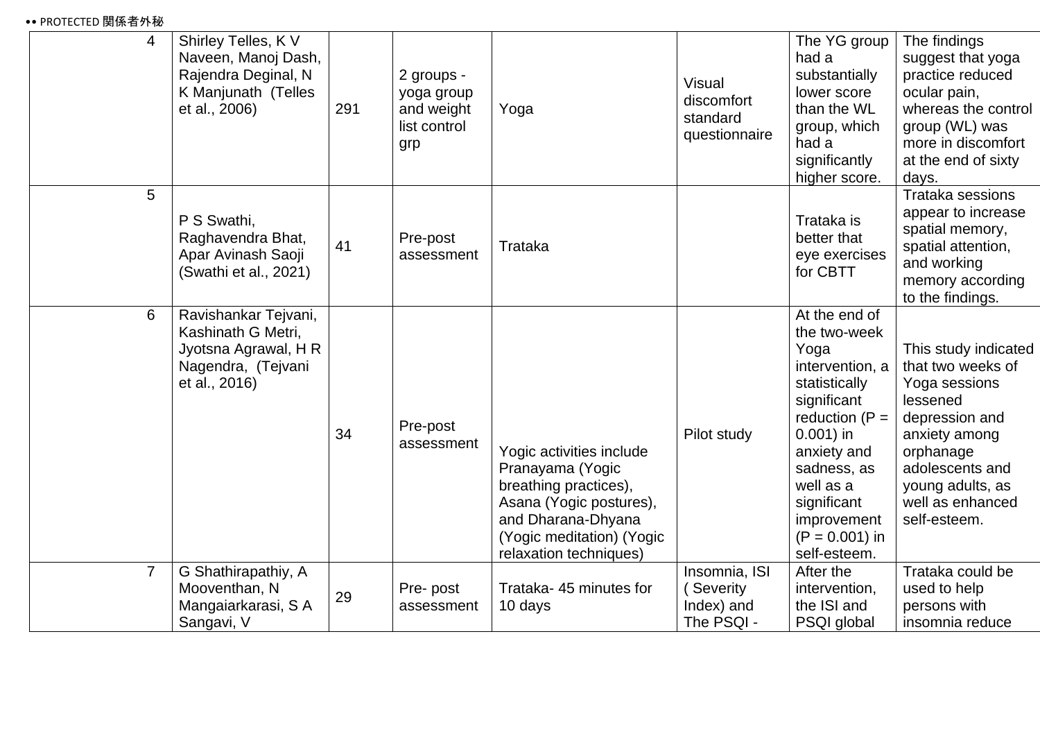### •• PROTECTED 関係者外秘

| $\overline{4}$ | Shirley Telles, K V<br>Naveen, Manoj Dash,<br>Rajendra Deginal, N<br>K Manjunath (Telles<br>et al., 2006) | 291 | 2 groups -<br>yoga group<br>and weight<br>list control<br>grp | Yoga                                                                                                                                                                          | Visual<br>discomfort<br>standard<br>questionnaire     | The YG group<br>had a<br>substantially<br>lower score<br>than the WL<br>group, which<br>had a<br>significantly<br>higher score.                                                                                                           | The findings<br>suggest that yoga<br>practice reduced<br>ocular pain,<br>whereas the control<br>group (WL) was<br>more in discomfort<br>at the end of sixty<br>days.                              |
|----------------|-----------------------------------------------------------------------------------------------------------|-----|---------------------------------------------------------------|-------------------------------------------------------------------------------------------------------------------------------------------------------------------------------|-------------------------------------------------------|-------------------------------------------------------------------------------------------------------------------------------------------------------------------------------------------------------------------------------------------|---------------------------------------------------------------------------------------------------------------------------------------------------------------------------------------------------|
| 5              | P S Swathi,<br>Raghavendra Bhat,<br>Apar Avinash Saoji<br>(Swathi et al., 2021)                           | 41  | Pre-post<br>assessment                                        | Trataka                                                                                                                                                                       |                                                       | Trataka is<br>better that<br>eye exercises<br>for CBTT                                                                                                                                                                                    | <b>Trataka sessions</b><br>appear to increase<br>spatial memory,<br>spatial attention,<br>and working<br>memory according<br>to the findings.                                                     |
| 6              | Ravishankar Tejvani,<br>Kashinath G Metri,<br>Jyotsna Agrawal, H R<br>Nagendra, (Tejvani<br>et al., 2016) | 34  | Pre-post<br>assessment                                        | Yogic activities include<br>Pranayama (Yogic<br>breathing practices),<br>Asana (Yogic postures),<br>and Dharana-Dhyana<br>(Yogic meditation) (Yogic<br>relaxation techniques) | Pilot study                                           | At the end of<br>the two-week<br>Yoga<br>intervention, a<br>statistically<br>significant<br>reduction $(P =$<br>$0.001$ ) in<br>anxiety and<br>sadness, as<br>well as a<br>significant<br>improvement<br>$(P = 0.001)$ in<br>self-esteem. | This study indicated<br>that two weeks of<br>Yoga sessions<br>lessened<br>depression and<br>anxiety among<br>orphanage<br>adolescents and<br>young adults, as<br>well as enhanced<br>self-esteem. |
| $\overline{7}$ | G Shathirapathiy, A<br>Mooventhan, N<br>Mangaiarkarasi, S A<br>Sangavi, V                                 | 29  | Pre-post<br>assessment                                        | Trataka- 45 minutes for<br>10 days                                                                                                                                            | Insomnia, ISI<br>Severity<br>Index) and<br>The PSQI - | After the<br>intervention,<br>the ISI and<br>PSQI global                                                                                                                                                                                  | Trataka could be<br>used to help<br>persons with<br>insomnia reduce                                                                                                                               |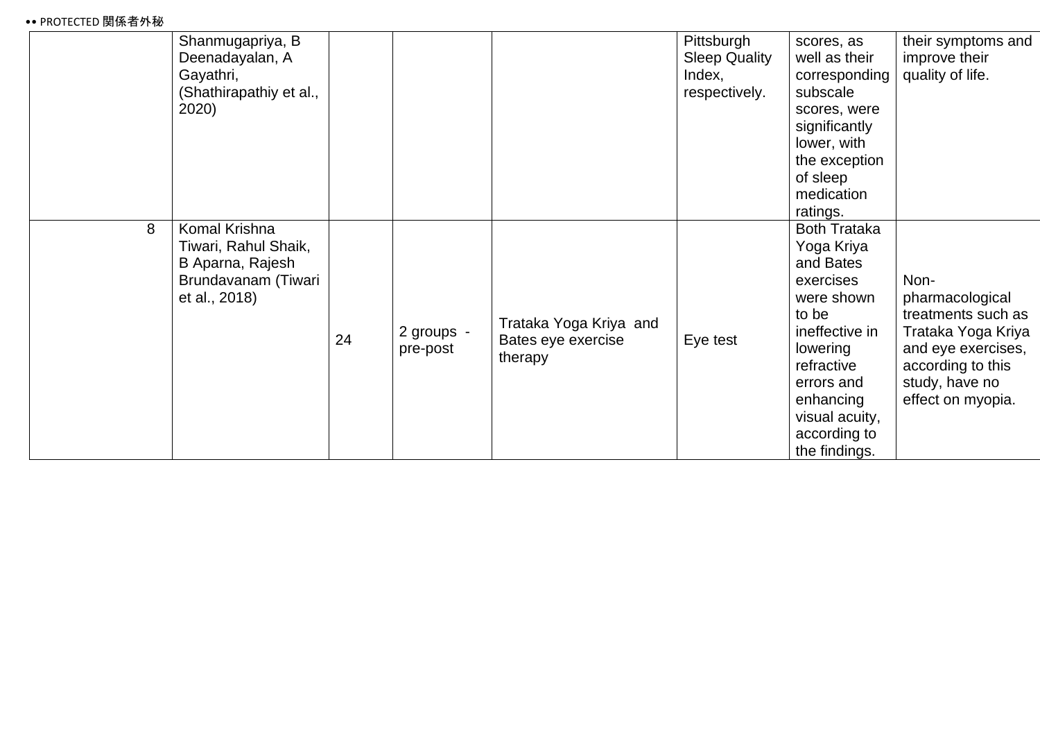### •• PROTECTED 関係者外秘

| 2020) | Shanmugapriya, B<br>Deenadayalan, A<br>Gayathri,<br>(Shathirapathiy et al.,                             |                        |                                                         | Pittsburgh<br><b>Sleep Quality</b><br>Index,<br>respectively. | scores, as<br>well as their<br>corresponding<br>subscale<br>scores, were<br>significantly<br>lower, with<br>the exception<br>of sleep<br>medication<br>ratings.                                              | their symptoms and<br>improve their<br>quality of life.                                                                                               |
|-------|---------------------------------------------------------------------------------------------------------|------------------------|---------------------------------------------------------|---------------------------------------------------------------|--------------------------------------------------------------------------------------------------------------------------------------------------------------------------------------------------------------|-------------------------------------------------------------------------------------------------------------------------------------------------------|
| 8     | Komal Krishna<br>Tiwari, Rahul Shaik,<br>B Aparna, Rajesh<br>Brundavanam (Tiwari<br>et al., 2018)<br>24 | 2 groups -<br>pre-post | Trataka Yoga Kriya and<br>Bates eye exercise<br>therapy | Eye test                                                      | <b>Both Trataka</b><br>Yoga Kriya<br>and Bates<br>exercises<br>were shown<br>to be<br>ineffective in<br>lowering<br>refractive<br>errors and<br>enhancing<br>visual acuity,<br>according to<br>the findings. | Non-<br>pharmacological<br>treatments such as<br>Trataka Yoga Kriya<br>and eye exercises,<br>according to this<br>study, have no<br>effect on myopia. |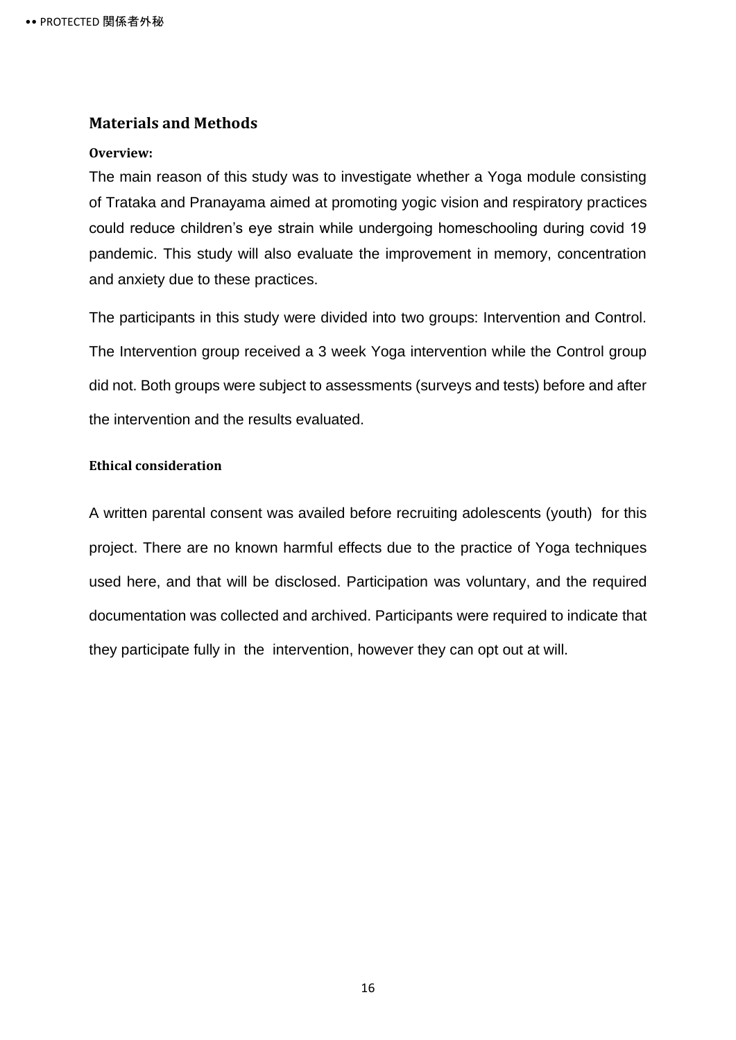### <span id="page-20-0"></span>**Materials and Methods**

#### <span id="page-20-1"></span>**Overview:**

The main reason of this study was to investigate whether a Yoga module consisting of Trataka and Pranayama aimed at promoting yogic vision and respiratory practices could reduce children's eye strain while undergoing homeschooling during covid 19 pandemic. This study will also evaluate the improvement in memory, concentration and anxiety due to these practices.

The participants in this study were divided into two groups: Intervention and Control. The Intervention group received a 3 week Yoga intervention while the Control group did not. Both groups were subject to assessments (surveys and tests) before and after the intervention and the results evaluated.

### <span id="page-20-3"></span><span id="page-20-2"></span>**Ethical consideration**

A written parental consent was availed before recruiting adolescents (youth) for this project. There are no known harmful effects due to the practice of Yoga techniques used here, and that will be disclosed. Participation was voluntary, and the required documentation was collected and archived. Participants were required to indicate that they participate fully in the intervention, however they can opt out at will.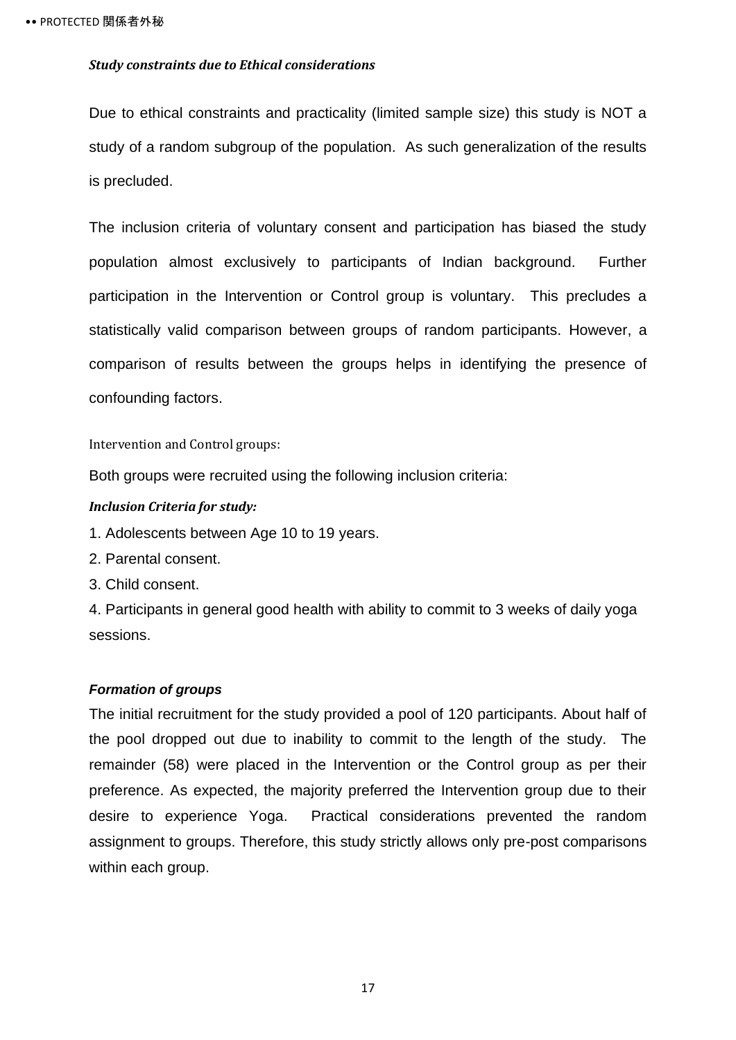### <span id="page-21-0"></span>*Study constraints due to Ethical considerations*

Due to ethical constraints and practicality (limited sample size) this study is NOT a study of a random subgroup of the population. As such generalization of the results is precluded.

The inclusion criteria of voluntary consent and participation has biased the study population almost exclusively to participants of Indian background. Further participation in the Intervention or Control group is voluntary. This precludes a statistically valid comparison between groups of random participants. However, a comparison of results between the groups helps in identifying the presence of confounding factors.

<span id="page-21-1"></span>Intervention and Control groups:

Both groups were recruited using the following inclusion criteria:

#### <span id="page-21-2"></span>*Inclusion Criteria for study:*

1. Adolescents between Age 10 to 19 years.

2. Parental consent.

3. Child consent.

4. Participants in general good health with ability to commit to 3 weeks of daily yoga sessions.

#### <span id="page-21-3"></span>*Formation of groups*

The initial recruitment for the study provided a pool of 120 participants. About half of the pool dropped out due to inability to commit to the length of the study. The remainder (58) were placed in the Intervention or the Control group as per their preference. As expected, the majority preferred the Intervention group due to their desire to experience Yoga. Practical considerations prevented the random assignment to groups. Therefore, this study strictly allows only pre-post comparisons within each group.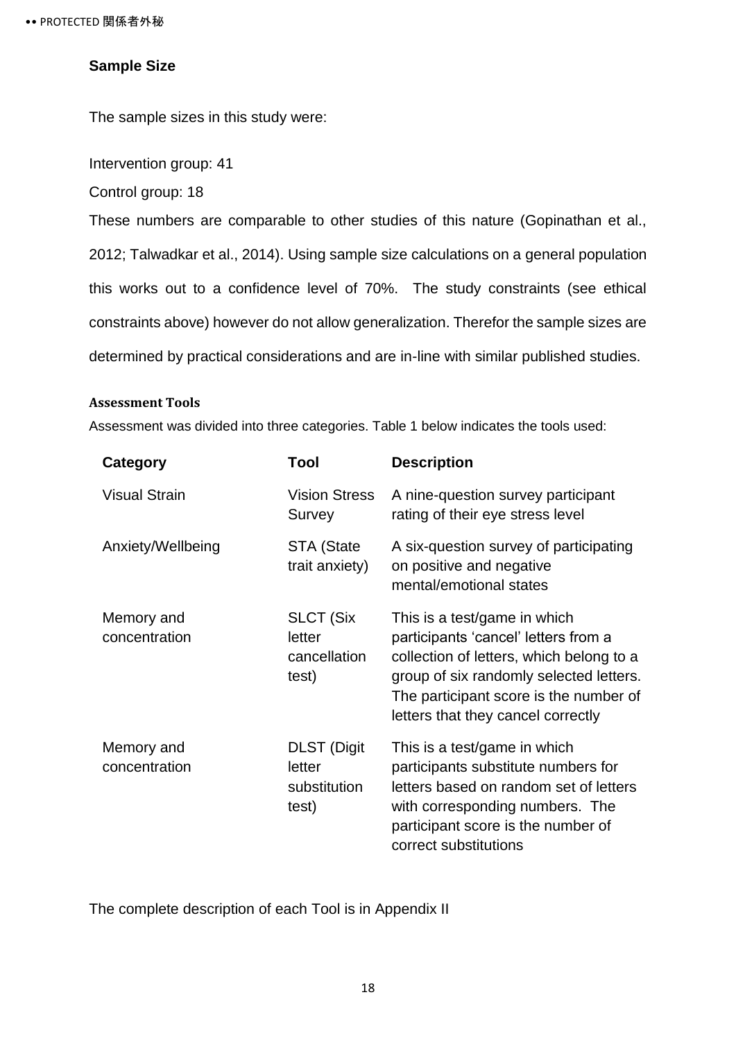### <span id="page-22-0"></span>**Sample Size**

The sample sizes in this study were:

Intervention group: 41

Control group: 18

These numbers are comparable to other studies of this nature (Gopinathan et al., 2012; Talwadkar et al., 2014). Using sample size calculations on a general population this works out to a confidence level of 70%. The study constraints (see ethical constraints above) however do not allow generalization. Therefor the sample sizes are determined by practical considerations and are in-line with similar published studies.

### <span id="page-22-1"></span>**Assessment Tools**

Assessment was divided into three categories. Table 1 below indicates the tools used:

| Category                    | Tool                                                  | <b>Description</b>                                                                                                                                                                                                                          |
|-----------------------------|-------------------------------------------------------|---------------------------------------------------------------------------------------------------------------------------------------------------------------------------------------------------------------------------------------------|
| <b>Visual Strain</b>        | <b>Vision Stress</b><br>Survey                        | A nine-question survey participant<br>rating of their eye stress level                                                                                                                                                                      |
| Anxiety/Wellbeing           | STA (State<br>trait anxiety)                          | A six-question survey of participating<br>on positive and negative<br>mental/emotional states                                                                                                                                               |
| Memory and<br>concentration | <b>SLCT (Six</b><br>letter<br>cancellation<br>test)   | This is a test/game in which<br>participants 'cancel' letters from a<br>collection of letters, which belong to a<br>group of six randomly selected letters.<br>The participant score is the number of<br>letters that they cancel correctly |
| Memory and<br>concentration | <b>DLST</b> (Digit<br>letter<br>substitution<br>test) | This is a test/game in which<br>participants substitute numbers for<br>letters based on random set of letters<br>with corresponding numbers. The<br>participant score is the number of<br>correct substitutions                             |

The complete description of each Tool is in Appendix II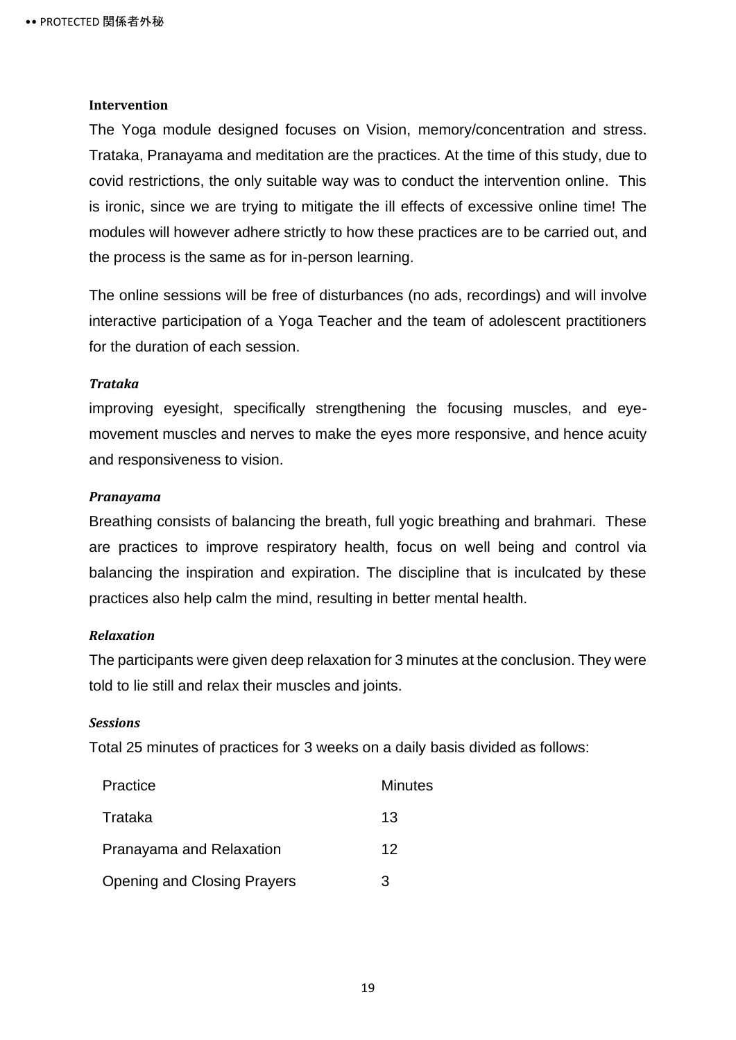### <span id="page-23-0"></span>**Intervention**

The Yoga module designed focuses on Vision, memory/concentration and stress. Trataka, Pranayama and meditation are the practices. At the time of this study, due to covid restrictions, the only suitable way was to conduct the intervention online. This is ironic, since we are trying to mitigate the ill effects of excessive online time! The modules will however adhere strictly to how these practices are to be carried out, and the process is the same as for in-person learning.

The online sessions will be free of disturbances (no ads, recordings) and will involve interactive participation of a Yoga Teacher and the team of adolescent practitioners for the duration of each session.

#### <span id="page-23-1"></span>*Trataka*

improving eyesight, specifically strengthening the focusing muscles, and eyemovement muscles and nerves to make the eyes more responsive, and hence acuity and responsiveness to vision.

#### <span id="page-23-2"></span>*Pranayama*

Breathing consists of balancing the breath, full yogic breathing and brahmari. These are practices to improve respiratory health, focus on well being and control via balancing the inspiration and expiration. The discipline that is inculcated by these practices also help calm the mind, resulting in better mental health.

### <span id="page-23-3"></span>*Relaxation*

The participants were given deep relaxation for 3 minutes at the conclusion. They were told to lie still and relax their muscles and joints.

#### <span id="page-23-4"></span>*Sessions*

Total 25 minutes of practices for 3 weeks on a daily basis divided as follows:

| Practice                           | Minutes |
|------------------------------------|---------|
| Trataka                            | 13      |
| Pranayama and Relaxation           | 12      |
| <b>Opening and Closing Prayers</b> | 3       |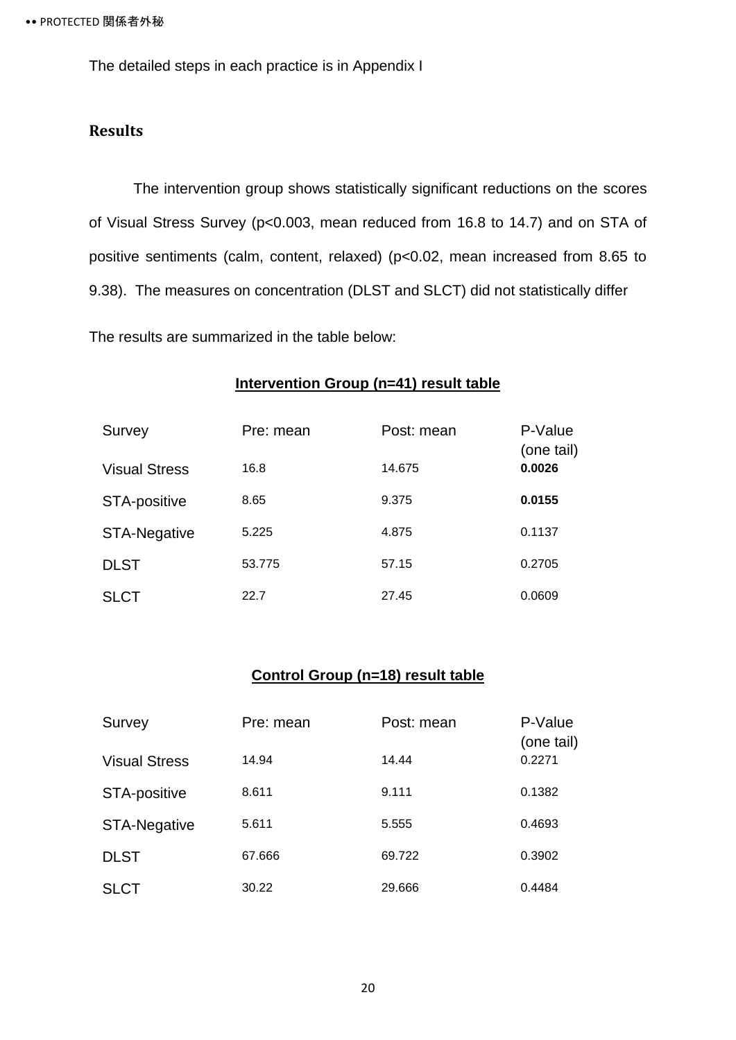The detailed steps in each practice is in Appendix I

### <span id="page-24-0"></span>**Results**

The intervention group shows statistically significant reductions on the scores of Visual Stress Survey (p<0.003, mean reduced from 16.8 to 14.7) and on STA of positive sentiments (calm, content, relaxed) (p<0.02, mean increased from 8.65 to 9.38). The measures on concentration (DLST and SLCT) did not statistically differ

The results are summarized in the table below:

### **Intervention Group (n=41) result table**

| Survey               | Pre: mean | Post: mean | P-Value<br>(one tail) |
|----------------------|-----------|------------|-----------------------|
| <b>Visual Stress</b> | 16.8      | 14.675     | 0.0026                |
| <b>STA-positive</b>  | 8.65      | 9.375      | 0.0155                |
| <b>STA-Negative</b>  | 5.225     | 4.875      | 0.1137                |
| <b>DLST</b>          | 53.775    | 57.15      | 0.2705                |
| <b>SLCT</b>          | 22.7      | 27.45      | 0.0609                |

### **Control Group (n=18) result table**

| Survey               | Pre: mean | Post: mean | P-Value<br>(one tail) |
|----------------------|-----------|------------|-----------------------|
| <b>Visual Stress</b> | 14.94     | 14.44      | 0.2271                |
| <b>STA-positive</b>  | 8.611     | 9.111      | 0.1382                |
| <b>STA-Negative</b>  | 5.611     | 5.555      | 0.4693                |
| <b>DLST</b>          | 67.666    | 69.722     | 0.3902                |
| <b>SLCT</b>          | 30.22     | 29.666     | 0.4484                |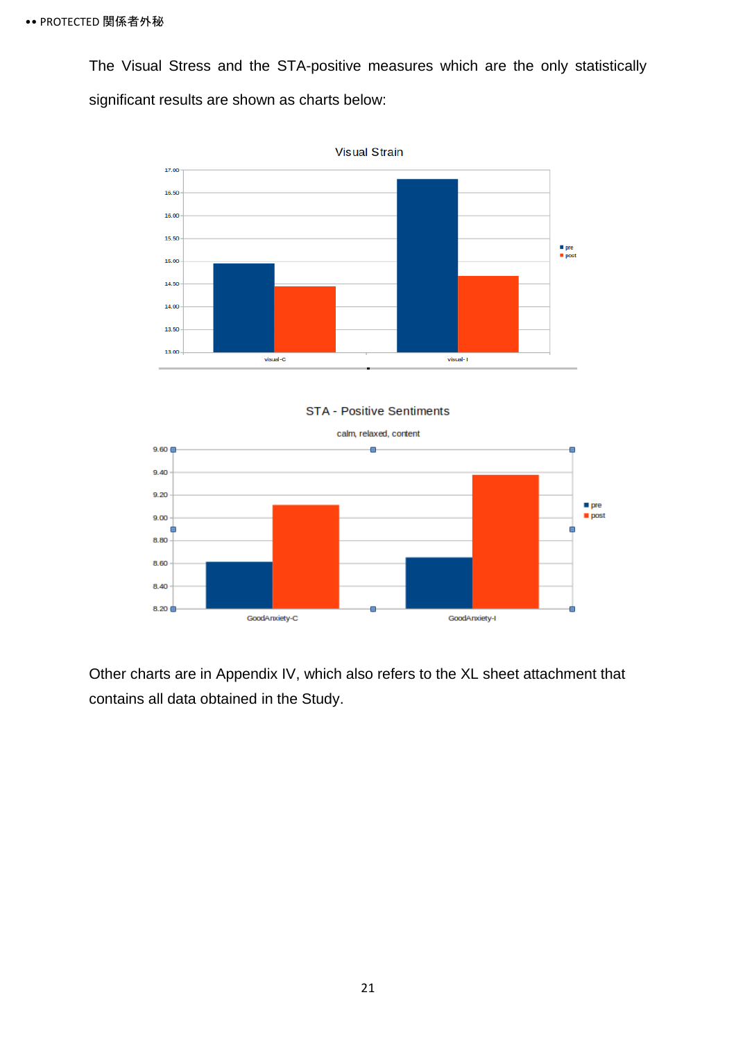The Visual Stress and the STA-positive measures which are the only statistically significant results are shown as charts below:



**STA - Positive Sentiments** 



Other charts are in Appendix IV, which also refers to the XL sheet attachment that contains all data obtained in the Study.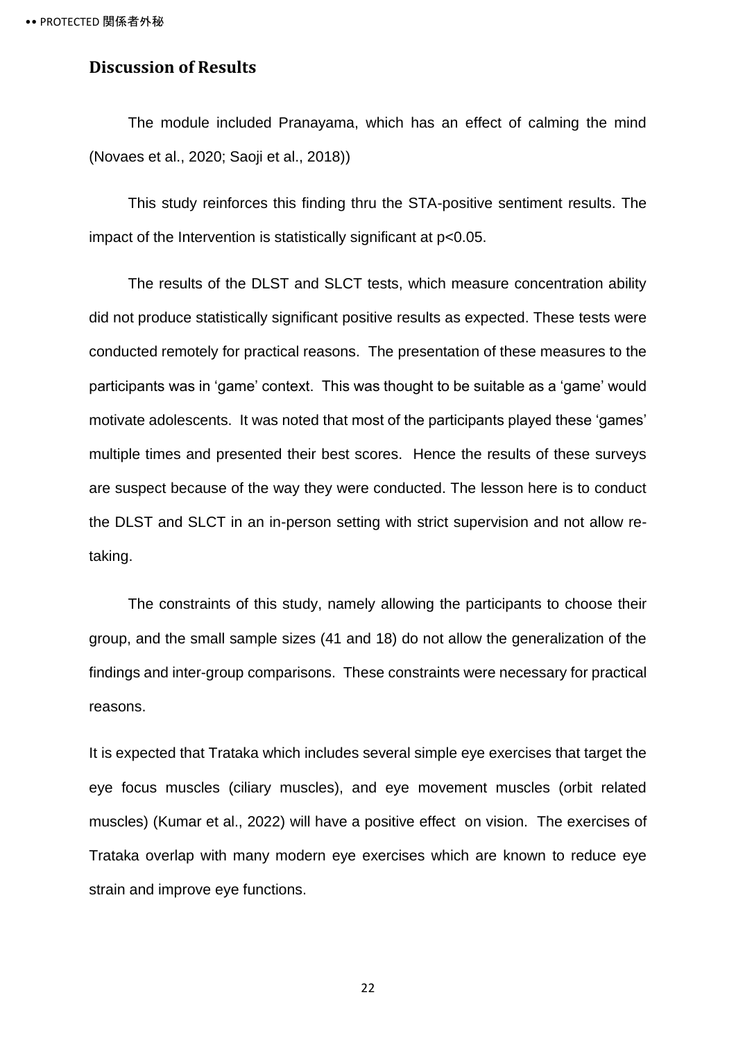### <span id="page-26-0"></span>**Discussion of Results**

The module included Pranayama, which has an effect of calming the mind (Novaes et al., 2020; Saoji et al., 2018))

This study reinforces this finding thru the STA-positive sentiment results. The impact of the Intervention is statistically significant at p<0.05.

The results of the DLST and SLCT tests, which measure concentration ability did not produce statistically significant positive results as expected. These tests were conducted remotely for practical reasons. The presentation of these measures to the participants was in 'game' context. This was thought to be suitable as a 'game' would motivate adolescents. It was noted that most of the participants played these 'games' multiple times and presented their best scores. Hence the results of these surveys are suspect because of the way they were conducted. The lesson here is to conduct the DLST and SLCT in an in-person setting with strict supervision and not allow retaking.

The constraints of this study, namely allowing the participants to choose their group, and the small sample sizes (41 and 18) do not allow the generalization of the findings and inter-group comparisons. These constraints were necessary for practical reasons.

It is expected that Trataka which includes several simple eye exercises that target the eye focus muscles (ciliary muscles), and eye movement muscles (orbit related muscles) (Kumar et al., 2022) will have a positive effect on vision. The exercises of Trataka overlap with many modern eye exercises which are known to reduce eye strain and improve eye functions.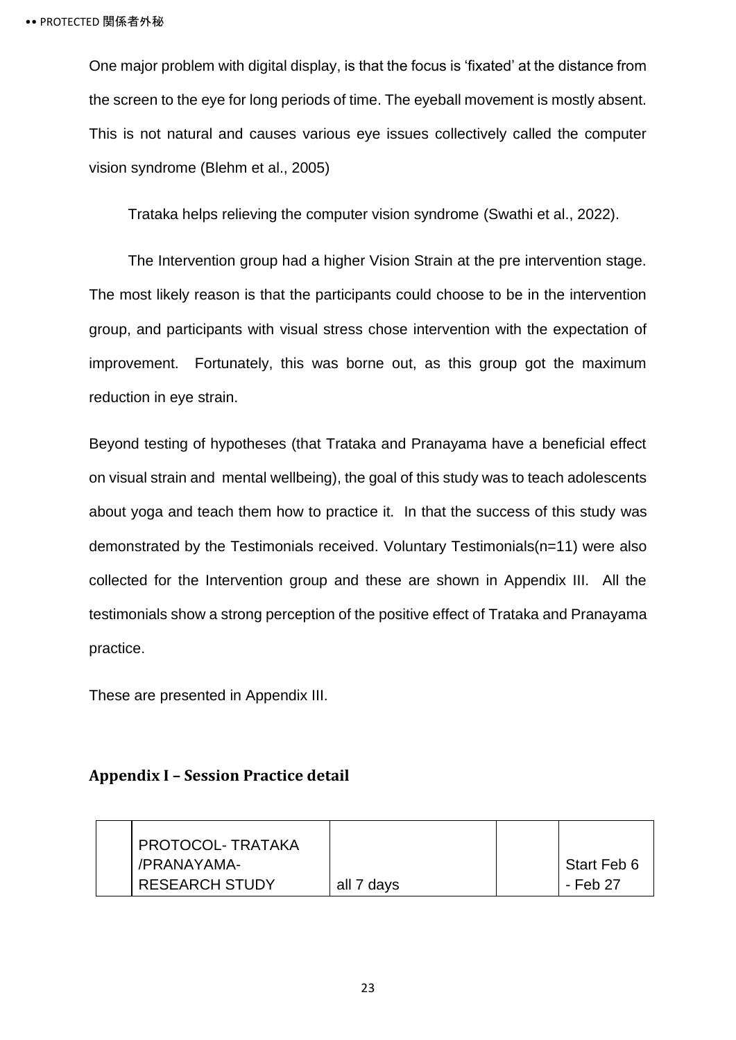One major problem with digital display, is that the focus is 'fixated' at the distance from the screen to the eye for long periods of time. The eyeball movement is mostly absent. This is not natural and causes various eye issues collectively called the computer vision syndrome (Blehm et al., 2005)

Trataka helps relieving the computer vision syndrome (Swathi et al., 2022).

The Intervention group had a higher Vision Strain at the pre intervention stage. The most likely reason is that the participants could choose to be in the intervention group, and participants with visual stress chose intervention with the expectation of improvement. Fortunately, this was borne out, as this group got the maximum reduction in eye strain.

Beyond testing of hypotheses (that Trataka and Pranayama have a beneficial effect on visual strain and mental wellbeing), the goal of this study was to teach adolescents about yoga and teach them how to practice it. In that the success of this study was demonstrated by the Testimonials received. Voluntary Testimonials(n=11) were also collected for the Intervention group and these are shown in Appendix III. All the testimonials show a strong perception of the positive effect of Trataka and Pranayama practice.

These are presented in Appendix III.

### <span id="page-27-0"></span>**Appendix I – Session Practice detail**

| <b>PROTOCOL-TRATAKA</b> |            |             |
|-------------------------|------------|-------------|
| /PRANAYAMA-             |            | Start Feb 6 |
| <b>RESEARCH STUDY</b>   | all 7 days | - Feb 27    |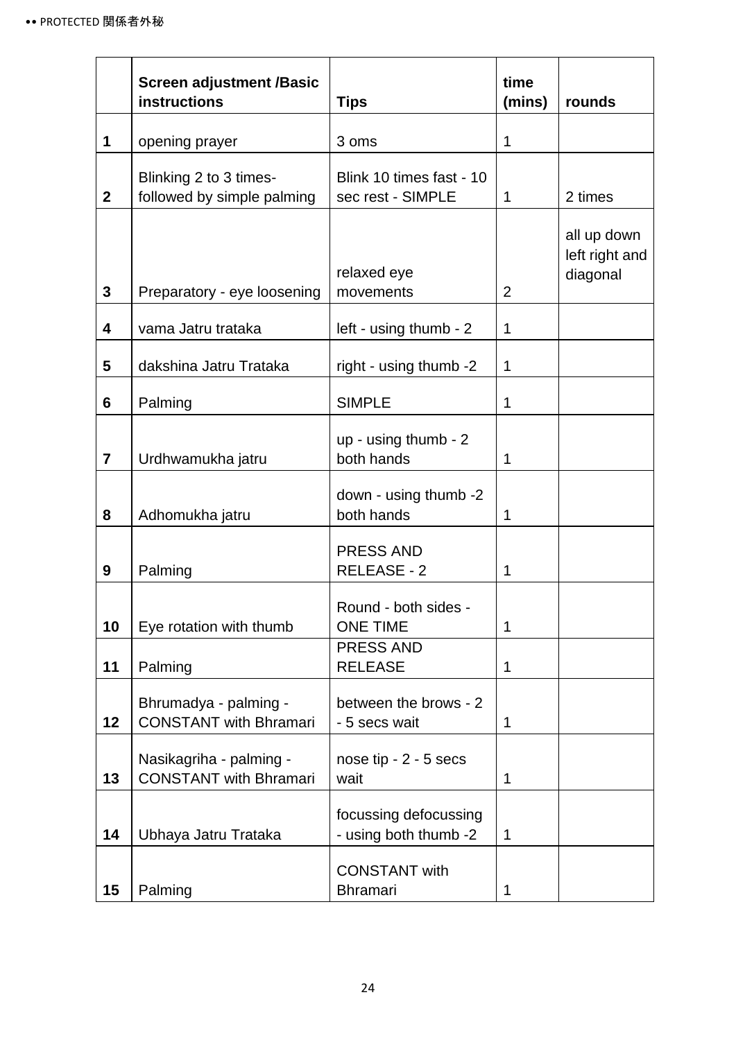|              | <b>Screen adjustment /Basic</b><br><b>instructions</b>   | <b>Tips</b>                                    | time<br>(mins) | rounds                                    |
|--------------|----------------------------------------------------------|------------------------------------------------|----------------|-------------------------------------------|
| 1            | opening prayer                                           | 3 oms                                          | 1              |                                           |
| $\mathbf{2}$ | Blinking 2 to 3 times-<br>followed by simple palming     | Blink 10 times fast - 10<br>sec rest - SIMPLE  | 1              | 2 times                                   |
| 3            | Preparatory - eye loosening                              | relaxed eye<br>movements                       | $\overline{2}$ | all up down<br>left right and<br>diagonal |
| 4            | vama Jatru trataka                                       | left - using thumb - 2                         | 1              |                                           |
| 5            | dakshina Jatru Trataka                                   | right - using thumb -2                         | 1              |                                           |
| 6            | Palming                                                  | <b>SIMPLE</b>                                  | 1              |                                           |
| 7            | Urdhwamukha jatru                                        | up - using thumb - 2<br>both hands             | 1              |                                           |
| 8            | Adhomukha jatru                                          | down - using thumb -2<br>both hands            | 1              |                                           |
| 9            | Palming                                                  | <b>PRESS AND</b><br>RELEASE - 2                | 1              |                                           |
| 10           | Eye rotation with thumb                                  | Round - both sides -<br><b>ONE TIME</b>        | 1              |                                           |
| 11           | Palming                                                  | <b>PRESS AND</b><br><b>RELEASE</b>             | 1              |                                           |
| 12           | Bhrumadya - palming -<br><b>CONSTANT</b> with Bhramari   | between the brows - 2<br>- 5 secs wait         | 1              |                                           |
| 13           | Nasikagriha - palming -<br><b>CONSTANT</b> with Bhramari | nose tip $-2 - 5$ secs<br>wait                 | 1              |                                           |
| 14           | Ubhaya Jatru Trataka                                     | focussing defocussing<br>- using both thumb -2 | 1              |                                           |
| 15           | Palming                                                  | <b>CONSTANT</b> with<br><b>Bhramari</b>        | 1              |                                           |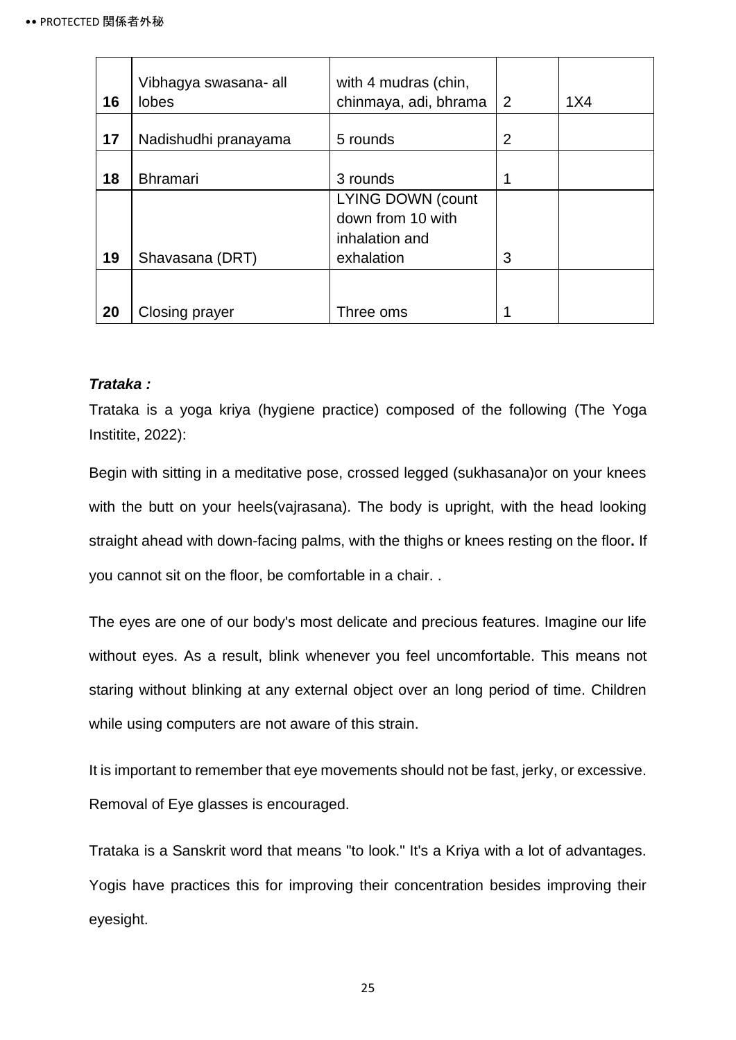| 16 | Vibhagya swasana- all<br><b>lobes</b> | with 4 mudras (chin,<br>chinmaya, adi, bhrama | $\overline{2}$ | 1X4 |
|----|---------------------------------------|-----------------------------------------------|----------------|-----|
| 17 | Nadishudhi pranayama                  | 5 rounds                                      | 2              |     |
| 18 | <b>Bhramari</b>                       | 3 rounds                                      |                |     |
|    |                                       | <b>LYING DOWN (count</b><br>down from 10 with |                |     |
|    |                                       | inhalation and                                |                |     |
| 19 | Shavasana (DRT)                       | exhalation                                    | 3              |     |
|    |                                       |                                               |                |     |
| 20 | Closing prayer                        | Three oms                                     |                |     |

### <span id="page-29-0"></span>*Trataka :*

Trataka is a yoga kriya (hygiene practice) composed of the following (The Yoga Institite, 2022):

Begin with sitting in a meditative pose, crossed legged (sukhasana)or on your knees with the butt on your heels(vajrasana). The body is upright, with the head looking straight ahead with down-facing palms, with the thighs or knees resting on the floor**.** If you cannot sit on the floor, be comfortable in a chair. .

The eyes are one of our body's most delicate and precious features. Imagine our life without eyes. As a result, blink whenever you feel uncomfortable. This means not staring without blinking at any external object over an long period of time. Children while using computers are not aware of this strain.

It is important to remember that eye movements should not be fast, jerky, or excessive. Removal of Eye glasses is encouraged.

Trataka is a Sanskrit word that means "to look." It's a Kriya with a lot of advantages. Yogis have practices this for improving their concentration besides improving their eyesight.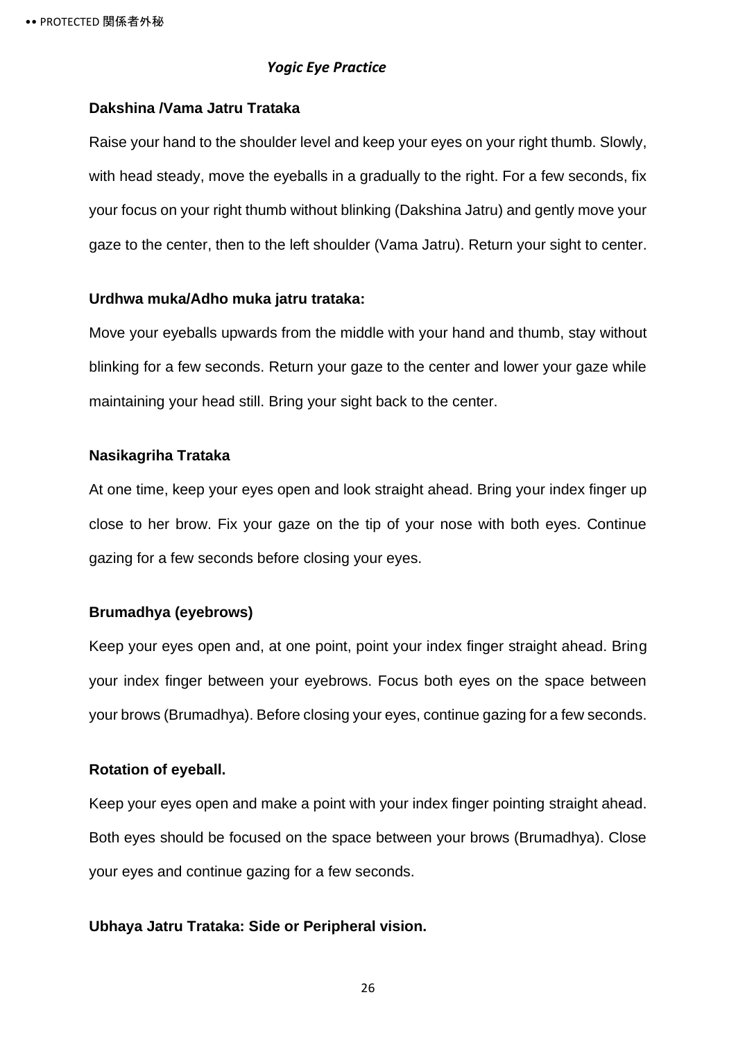#### *Yogic Eye Practice*

### <span id="page-30-0"></span>**Dakshina /Vama Jatru Trataka**

Raise your hand to the shoulder level and keep your eyes on your right thumb. Slowly, with head steady, move the eyeballs in a gradually to the right. For a few seconds, fix your focus on your right thumb without blinking (Dakshina Jatru) and gently move your gaze to the center, then to the left shoulder (Vama Jatru). Return your sight to center.

#### **Urdhwa muka/Adho muka jatru trataka:**

Move your eyeballs upwards from the middle with your hand and thumb, stay without blinking for a few seconds. Return your gaze to the center and lower your gaze while maintaining your head still. Bring your sight back to the center.

### **Nasikagriha Trataka**

At one time, keep your eyes open and look straight ahead. Bring your index finger up close to her brow. Fix your gaze on the tip of your nose with both eyes. Continue gazing for a few seconds before closing your eyes.

### **Brumadhya (eyebrows)**

Keep your eyes open and, at one point, point your index finger straight ahead. Bring your index finger between your eyebrows. Focus both eyes on the space between your brows (Brumadhya). Before closing your eyes, continue gazing for a few seconds.

### **Rotation of eyeball.**

Keep your eyes open and make a point with your index finger pointing straight ahead. Both eyes should be focused on the space between your brows (Brumadhya). Close your eyes and continue gazing for a few seconds.

### **Ubhaya Jatru Trataka: Side or Peripheral vision.**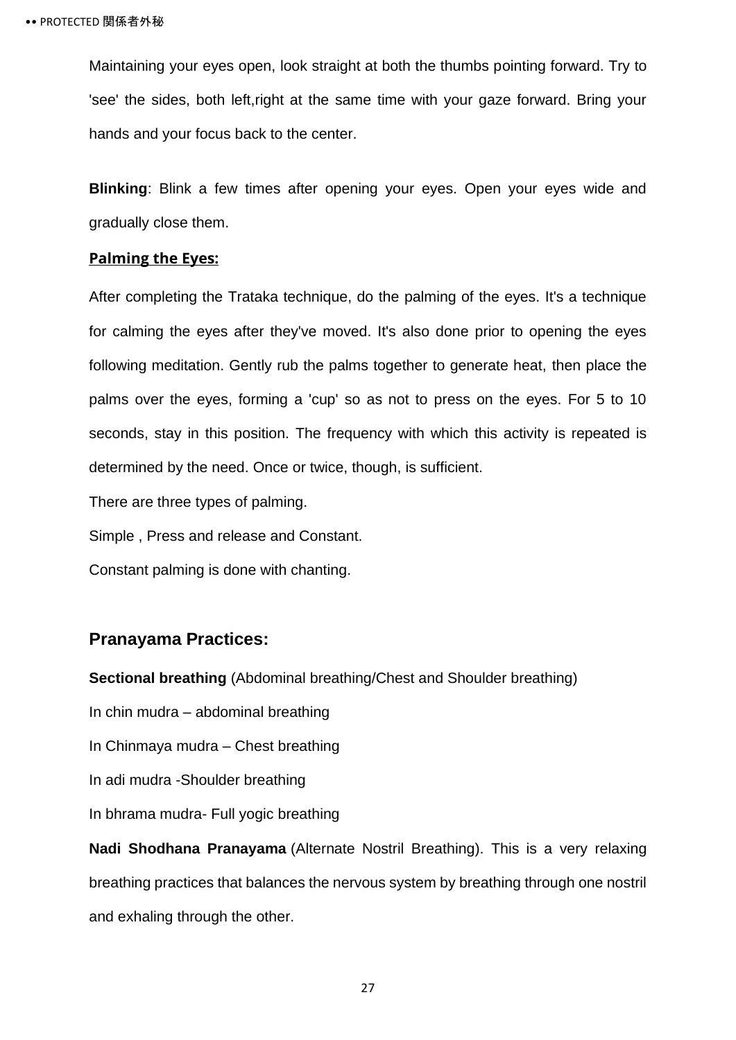Maintaining your eyes open, look straight at both the thumbs pointing forward. Try to 'see' the sides, both left,right at the same time with your gaze forward. Bring your hands and your focus back to the center.

**Blinking**: Blink a few times after opening your eyes. Open your eyes wide and gradually close them.

### **Palming the Eyes:**

After completing the Trataka technique, do the palming of the eyes. It's a technique for calming the eyes after they've moved. It's also done prior to opening the eyes following meditation. Gently rub the palms together to generate heat, then place the palms over the eyes, forming a 'cup' so as not to press on the eyes. For 5 to 10 seconds, stay in this position. The frequency with which this activity is repeated is determined by the need. Once or twice, though, is sufficient.

There are three types of palming.

Simple , Press and release and Constant.

Constant palming is done with chanting.

### **Pranayama Practices:**

**Sectional breathing** (Abdominal breathing/Chest and Shoulder breathing)

In chin mudra – abdominal breathing

In Chinmaya mudra – Chest breathing

In adi mudra -Shoulder breathing

In bhrama mudra- Full yogic breathing

**[Nadi Shodhana Pranayama](https://www.yogabasics.com/practice/nadi-sodhana-pranayama/)** (Alternate Nostril Breathing). This is a very relaxing breathing practices that balances the nervous system by breathing through one nostril and exhaling through the other.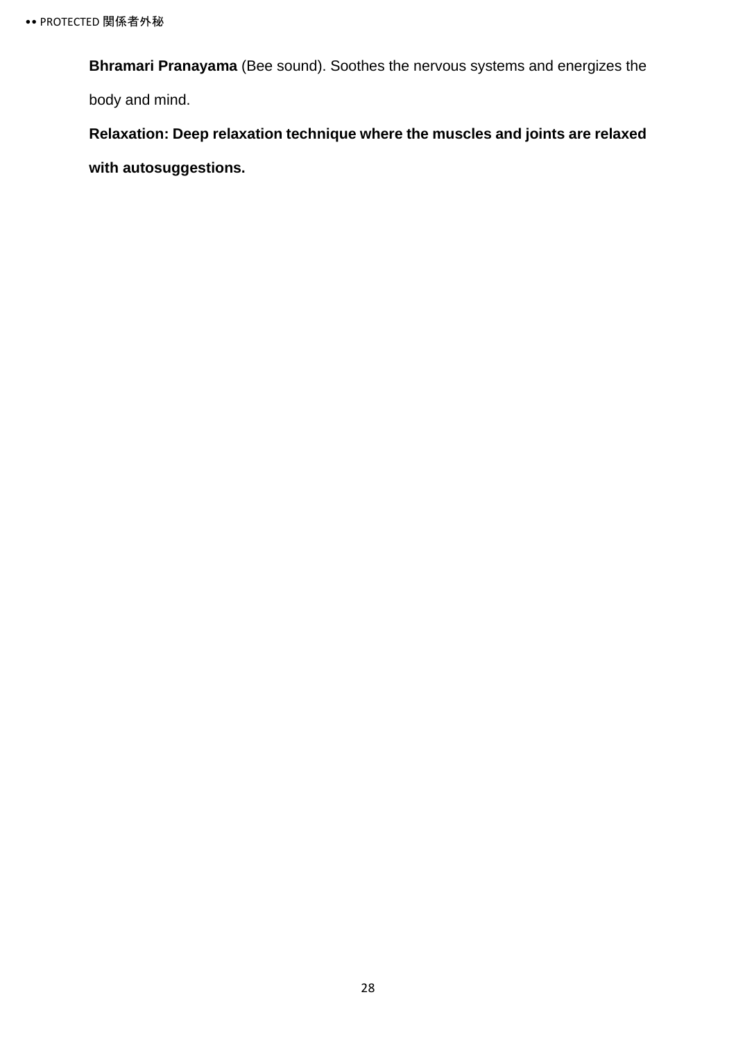**Bhramari Pranayama** (Bee sound). Soothes the nervous systems and energizes the body and mind.

**Relaxation: Deep relaxation technique where the muscles and joints are relaxed with autosuggestions.**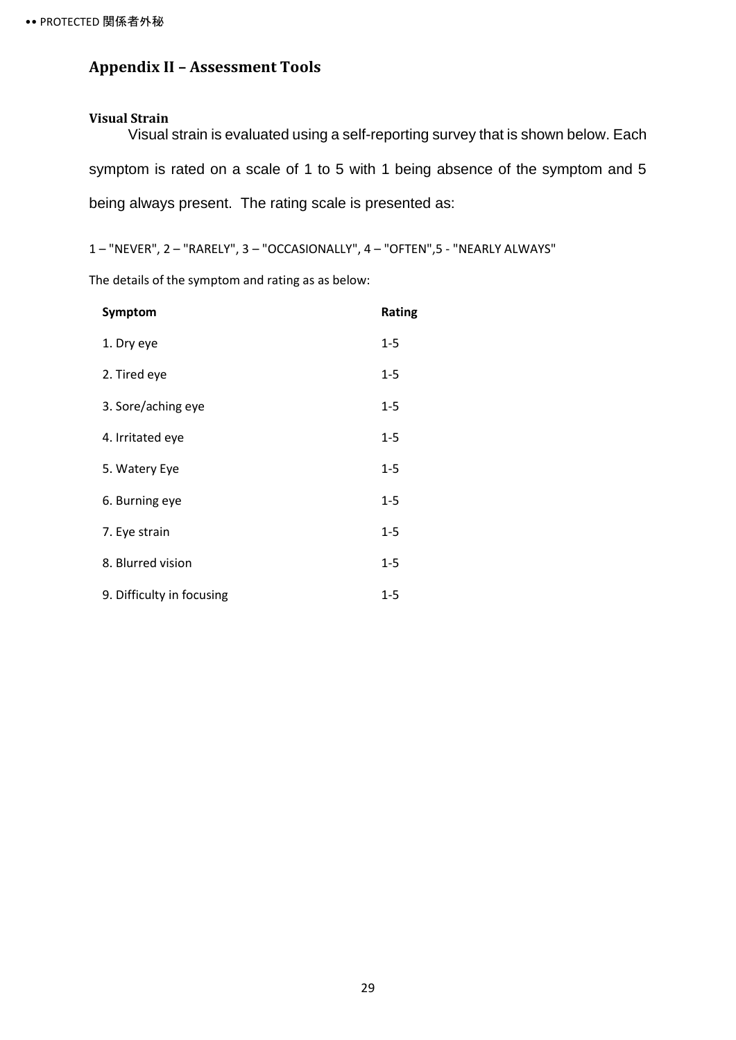### <span id="page-33-0"></span>**Appendix II – Assessment Tools**

#### <span id="page-33-1"></span>**Visual Strain**

Visual strain is evaluated using a self-reporting survey that is shown below. Each symptom is rated on a scale of 1 to 5 with 1 being absence of the symptom and 5 being always present. The rating scale is presented as:

1 – "NEVER", 2 – "RARELY", 3 – "OCCASIONALLY", 4 – "OFTEN",5 - "NEARLY ALWAYS"

The details of the symptom and rating as as below:

| Symptom                   | <b>Rating</b> |
|---------------------------|---------------|
| 1. Dry eye                | $1 - 5$       |
| 2. Tired eye              | $1 - 5$       |
| 3. Sore/aching eye        | $1 - 5$       |
| 4. Irritated eye          | $1 - 5$       |
| 5. Watery Eye             | $1 - 5$       |
| 6. Burning eye            | $1 - 5$       |
| 7. Eye strain             | $1 - 5$       |
| 8. Blurred vision         | $1 - 5$       |
| 9. Difficulty in focusing | $1 - 5$       |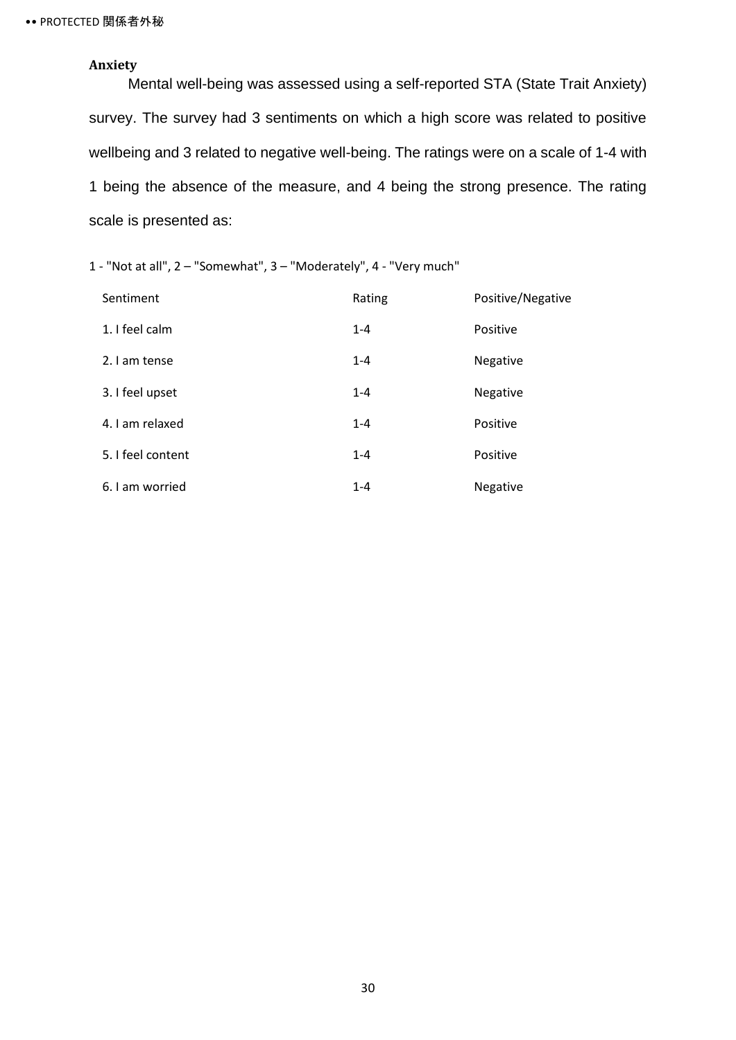### <span id="page-34-0"></span>**Anxiety**

Mental well-being was assessed using a self-reported STA (State Trait Anxiety) survey. The survey had 3 sentiments on which a high score was related to positive wellbeing and 3 related to negative well-being. The ratings were on a scale of 1-4 with 1 being the absence of the measure, and 4 being the strong presence. The rating scale is presented as:

1 - "Not at all", 2 – "Somewhat", 3 – "Moderately", 4 - "Very much"

| Sentiment         | Rating  | Positive/Negative |
|-------------------|---------|-------------------|
| 1. I feel calm    | $1 - 4$ | Positive          |
| 2. I am tense     | $1 - 4$ | Negative          |
| 3. I feel upset   | $1 - 4$ | Negative          |
| 4. I am relaxed   | $1 - 4$ | Positive          |
| 5. I feel content | $1 - 4$ | Positive          |
| 6. I am worried   | $1 - 4$ | Negative          |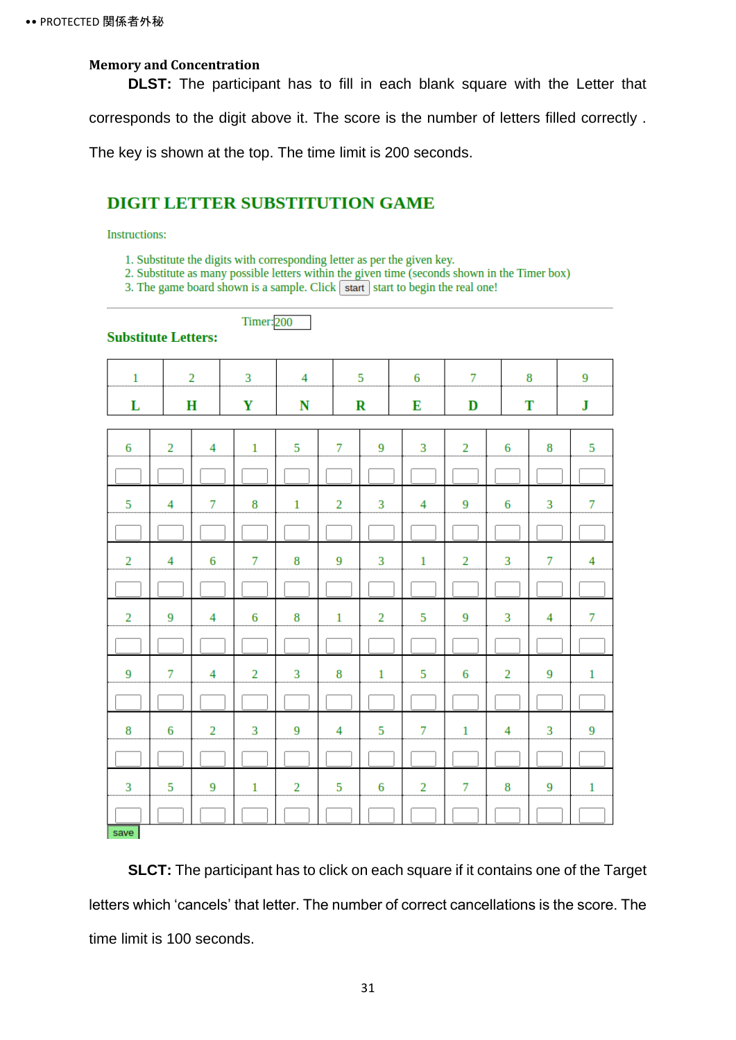#### <span id="page-35-0"></span>**Memory and Concentration**

**DLST:** The participant has to fill in each blank square with the Letter that corresponds to the digit above it. The score is the number of letters filled correctly .

The key is shown at the top. The time limit is 200 seconds.

### **DIGIT LETTER SUBSTITUTION GAME**

**Timer:**200

#### **Instructions:**

- 1. Substitute the digits with corresponding letter as per the given key.
- 2. Substitute as many possible letters within the given time (seconds shown in the Timer box)

3. The game board shown is a sample. Click  $\sqrt{\frac{1}{1}}$  start to begin the real one!

#### **Substitute Letters:**

| $\mathbf{1}$   |                | $\overline{2}$<br>3 |                | $\overline{4}$ |                | 5                   | 6                       | $\overline{7}$ |                         | 8              | 9               |
|----------------|----------------|---------------------|----------------|----------------|----------------|---------------------|-------------------------|----------------|-------------------------|----------------|-----------------|
| L              |                | H                   | Y              | N              |                | $\mathbf R$         | Е                       | D              |                         | T              | ${\bf J}$       |
| 6              | $\overline{2}$ | 4                   | $\mathbf{1}$   | 5              | 7              | 9                   | $\overline{\mathbf{3}}$ | $\overline{2}$ | 6                       | 8              | $\overline{5}$  |
|                |                |                     |                |                |                |                     |                         |                |                         |                |                 |
| $\overline{5}$ | 4              | 7                   | 8              | $\mathbf{1}$   | $\overline{2}$ | 3<br>$\overline{4}$ |                         | 9              | 6                       | 3              | $\overline{7}$  |
|                |                |                     |                |                |                |                     |                         |                |                         |                |                 |
| $\overline{2}$ | 4              | 6                   | $\overline{7}$ | 8              | 9              | 3                   | $\mathbf{1}$            |                | 3                       | 7              | $\overline{4}$  |
|                |                |                     |                |                |                |                     |                         |                |                         |                |                 |
| $\overline{2}$ | 9              | $\overline{4}$      | 6              | 8              | $\mathbf 1$    | $\overline{2}$      | 5                       | $\overline{9}$ | $\overline{\mathbf{3}}$ | $\overline{4}$ | $7\overline{ }$ |
|                |                |                     |                |                |                |                     |                         |                |                         |                |                 |
| 9              | 7              | $\overline{4}$      | $\overline{2}$ | 3              | 8              | $\mathbf{1}$        | 5                       | 6              | $\overline{2}$          | 9              | $\mathbf{1}$    |
|                |                |                     |                |                |                |                     |                         |                |                         |                |                 |
| 8              | 6              | $\overline{2}$      | 3              | 9              | 4              | 5                   | $7\overline{ }$         | $\mathbf{1}$   | $\overline{4}$          | 3              | 9               |
|                |                |                     |                |                |                |                     |                         |                |                         |                |                 |
| 3              | 5              | 9                   | $1\,$          | $\overline{2}$ | 5              | $\,6\,$             | $\overline{2}$          | $\overline{7}$ | 8                       | 9              | $\,1\,$         |
| save           |                |                     |                |                |                |                     |                         |                |                         |                |                 |

**SLCT:** The participant has to click on each square if it contains one of the Target letters which 'cancels' that letter. The number of correct cancellations is the score. The time limit is 100 seconds.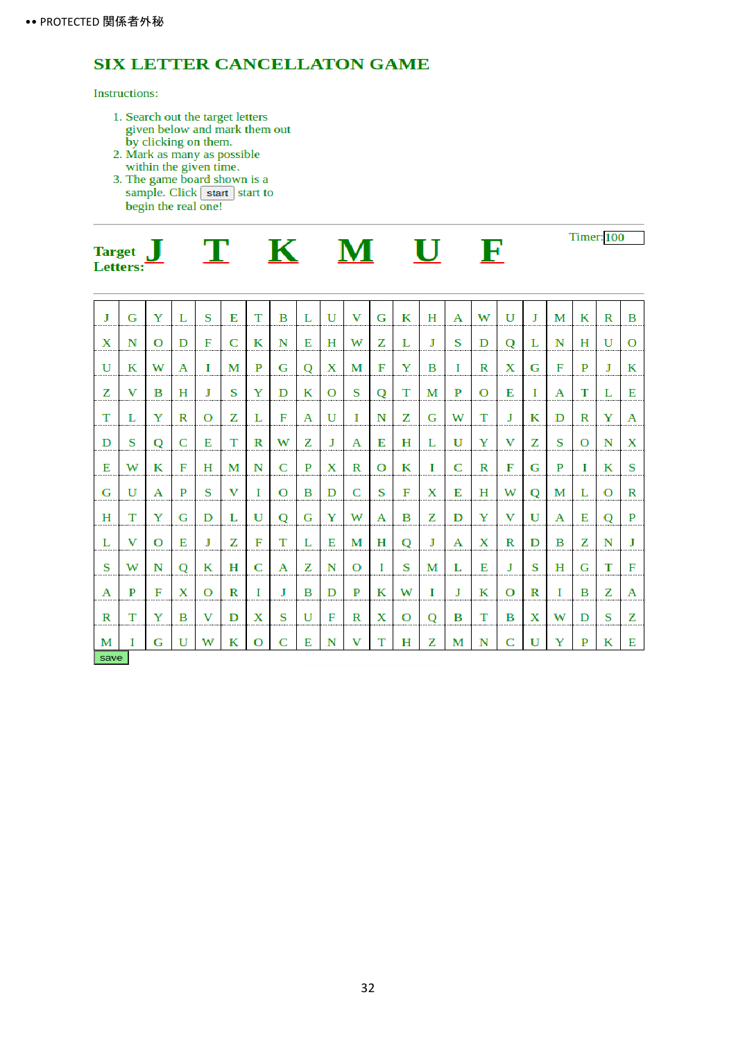### **SIX LETTER CANCELLATON GAME**

#### **Instructions:**

- 1. Search out the target letters<br>given below and mark them out<br>by clicking on them.<br>2. Mark as many as possible<br>within the given time.<br>3. The game board shown is a<br>sample. Click  $\boxed{\text{start}}$  start to
- 
- begin the real one!

| <b>Target</b><br>Letters: |  |  |  |  |  | <b>Timer:</b> 100 |
|---------------------------|--|--|--|--|--|-------------------|
|---------------------------|--|--|--|--|--|-------------------|

| Л            | G | Y        | L | S        | Е | т            | в | L | U | v | G | к | H | A | W | U | $\mathbf I$ | М | К | R | B        |
|--------------|---|----------|---|----------|---|--------------|---|---|---|---|---|---|---|---|---|---|-------------|---|---|---|----------|
| X            | N | $\Omega$ | D | F        | C | К            | N | Е | H | w | z | L | J | s | D | Q | L           | N | н | U | $\Omega$ |
| $\mathbf{U}$ | К | W        | A | Т        | М | P            | G | Q | X | М | F | Y | в | I | R | Х | G           | F | P | Л | К        |
| z            | v | в        | н | J        | S | Y            | D | К | O | S | Q | т | М | P | O | Е | I           | A | т | L | Е        |
| T            | L | Y        | R | $\Omega$ | z | L            | F | A | U | Т | N | z | G | w | т | J | К           | D | R | Y | A        |
| D            | S | Q        | C | Е        | т | R            | W | z | J | A | Е | н | L | U | Y | v | z           | s | О | N | Х        |
| Е            | w | К        | F | н        | М | N            | C | P | X | R | O | К | I | C | R | F | G           | P | П | К | S        |
| G            | U | A        | P | S        | v | I            | O | B | D | C | S | F | Х | Е | н | W | О           | М | L | О | R        |
| н            | т | Y        | G | D        | L | U            | O | G | Y | W | A | в | z | D | Y | v | U           | A | Е | O | P        |
| L            | v | $\Omega$ | Е | J        | z | F            | т | L | Е | М | Н | O | J | А | X | R | D           | в | z | N | J        |
| S            | w | N        | Q | К        | н | C            | Α | z | N | O | I | S | М | L | Е | J | S           | н | G | т | F        |
| А            | P | F        | X | $\Omega$ | R | $\mathbf{I}$ | Л | в | D | P | К | W | L | J | К | O | R           | T | в | z | A        |
| R            | т | Y        | в | v        | D | Х            | S | U | F | R | X | О | Q | в | т | в | X           | W | D | S | z        |
| М            | Ι | G        | U | w        | К | О            | C | Е | N | v | т | н | z | М | N | C | U           | Y | P | К | Е        |
| save         |   |          |   |          |   |              |   |   |   |   |   |   |   |   |   |   |             |   |   |   |          |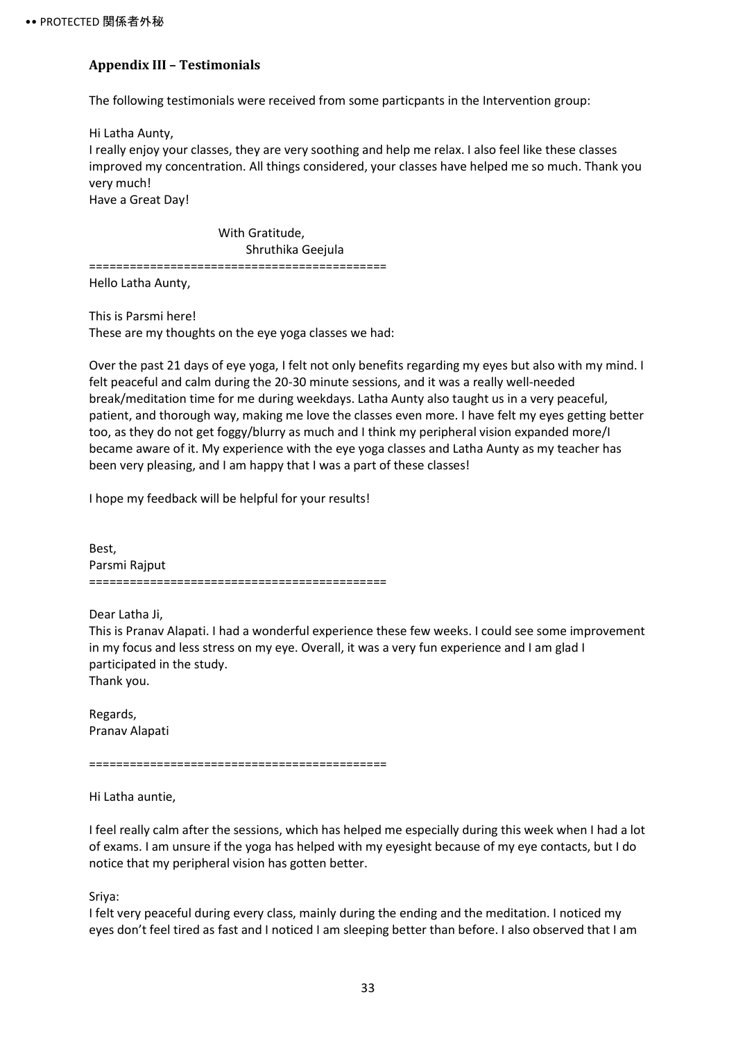### <span id="page-37-0"></span>**Appendix III – Testimonials**

The following testimonials were received from some particpants in the Intervention group:

Hi Latha Aunty, I really enjoy your classes, they are very soothing and help me relax. I also feel like these classes improved my concentration. All things considered, your classes have helped me so much. Thank you very much! Have a Great Day!

 With Gratitude, Shruthika Geejula ============================================ Hello Latha Aunty,

This is Parsmi here! These are my thoughts on the eye yoga classes we had:

Over the past 21 days of eye yoga, I felt not only benefits regarding my eyes but also with my mind. I felt peaceful and calm during the 20-30 minute sessions, and it was a really well-needed break/meditation time for me during weekdays. Latha Aunty also taught us in a very peaceful, patient, and thorough way, making me love the classes even more. I have felt my eyes getting better too, as they do not get foggy/blurry as much and I think my peripheral vision expanded more/I became aware of it. My experience with the eye yoga classes and Latha Aunty as my teacher has been very pleasing, and I am happy that I was a part of these classes!

I hope my feedback will be helpful for your results!

Best, Parsmi Rajput ============================================

Dear Latha Ji,

This is Pranav Alapati. I had a wonderful experience these few weeks. I could see some improvement in my focus and less stress on my eye. Overall, it was a very fun experience and I am glad I participated in the study. Thank you.

Regards, Pranav Alapati

============================================

Hi Latha auntie,

I feel really calm after the sessions, which has helped me especially during this week when I had a lot of exams. I am unsure if the yoga has helped with my eyesight because of my eye contacts, but I do notice that my peripheral vision has gotten better.

Sriya:

I felt very peaceful during every class, mainly during the ending and the meditation. I noticed my eyes don't feel tired as fast and I noticed I am sleeping better than before. I also observed that I am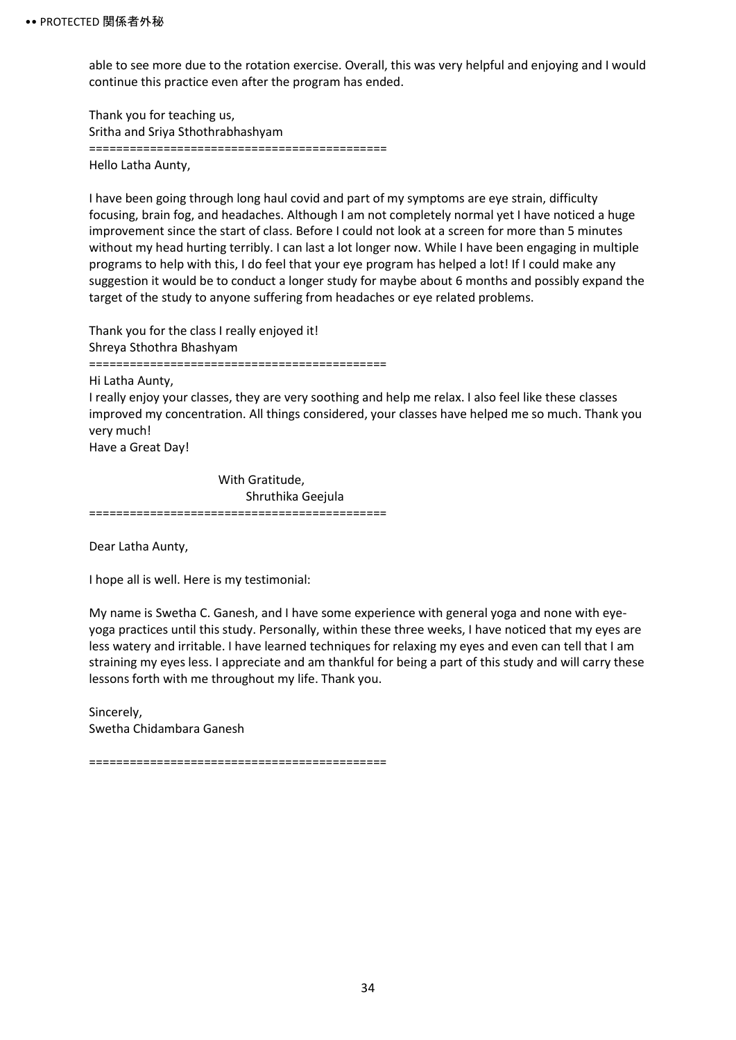able to see more due to the rotation exercise. Overall, this was very helpful and enjoying and I would continue this practice even after the program has ended.

Thank you for teaching us, Sritha and Sriya Sthothrabhashyam ============================================ Hello Latha Aunty,

I have been going through long haul covid and part of my symptoms are eye strain, difficulty focusing, brain fog, and headaches. Although I am not completely normal yet I have noticed a huge improvement since the start of class. Before I could not look at a screen for more than 5 minutes without my head hurting terribly. I can last a lot longer now. While I have been engaging in multiple programs to help with this, I do feel that your eye program has helped a lot! If I could make any suggestion it would be to conduct a longer study for maybe about 6 months and possibly expand the target of the study to anyone suffering from headaches or eye related problems.

Thank you for the class I really enjoyed it! Shreya Sthothra Bhashyam ============================================ Hi Latha Aunty, I really enjoy your classes, they are very soothing and help me relax. I also feel like these classes improved my concentration. All things considered, your classes have helped me so much. Thank you very much! Have a Great Day!

 With Gratitude, Shruthika Geejula ============================================

Dear Latha Aunty,

I hope all is well. Here is my testimonial:

My name is Swetha C. Ganesh, and I have some experience with general yoga and none with eyeyoga practices until this study. Personally, within these three weeks, I have noticed that my eyes are less watery and irritable. I have learned techniques for relaxing my eyes and even can tell that I am straining my eyes less. I appreciate and am thankful for being a part of this study and will carry these lessons forth with me throughout my life. Thank you.

Sincerely, Swetha Chidambara Ganesh

============================================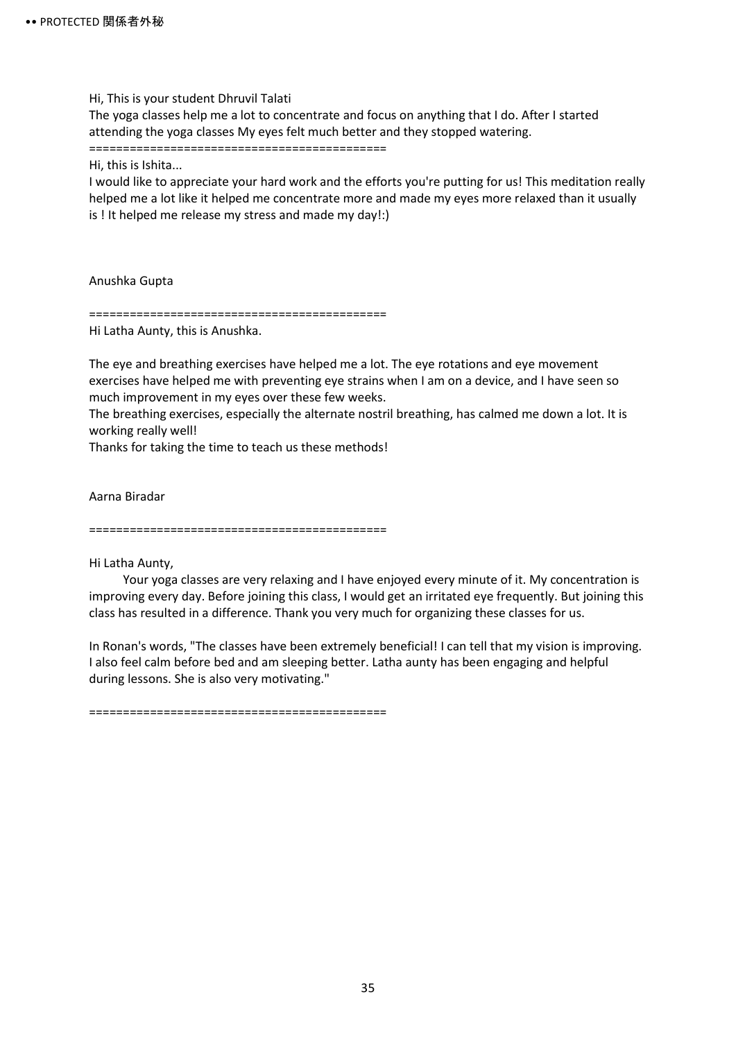Hi, This is your student Dhruvil Talati

The yoga classes help me a lot to concentrate and focus on anything that I do. After I started attending the yoga classes My eyes felt much better and they stopped watering.

============================================

Hi, this is Ishita...

I would like to appreciate your hard work and the efforts you're putting for us! This meditation really helped me a lot like it helped me concentrate more and made my eyes more relaxed than it usually is ! It helped me release my stress and made my day!:)

Anushka Gupta

============================================

Hi Latha Aunty, this is Anushka.

The eye and breathing exercises have helped me a lot. The eye rotations and eye movement exercises have helped me with preventing eye strains when I am on a device, and I have seen so much improvement in my eyes over these few weeks.

The breathing exercises, especially the alternate nostril breathing, has calmed me down a lot. It is working really well!

Thanks for taking the time to teach us these methods!

Aarna Biradar

============================================

Hi Latha Aunty,

Your yoga classes are very relaxing and I have enjoyed every minute of it. My concentration is improving every day. Before joining this class, I would get an irritated eye frequently. But joining this class has resulted in a difference. Thank you very much for organizing these classes for us.

In Ronan's words, "The classes have been extremely beneficial! I can tell that my vision is improving. I also feel calm before bed and am sleeping better. Latha aunty has been engaging and helpful during lessons. She is also very motivating."

============================================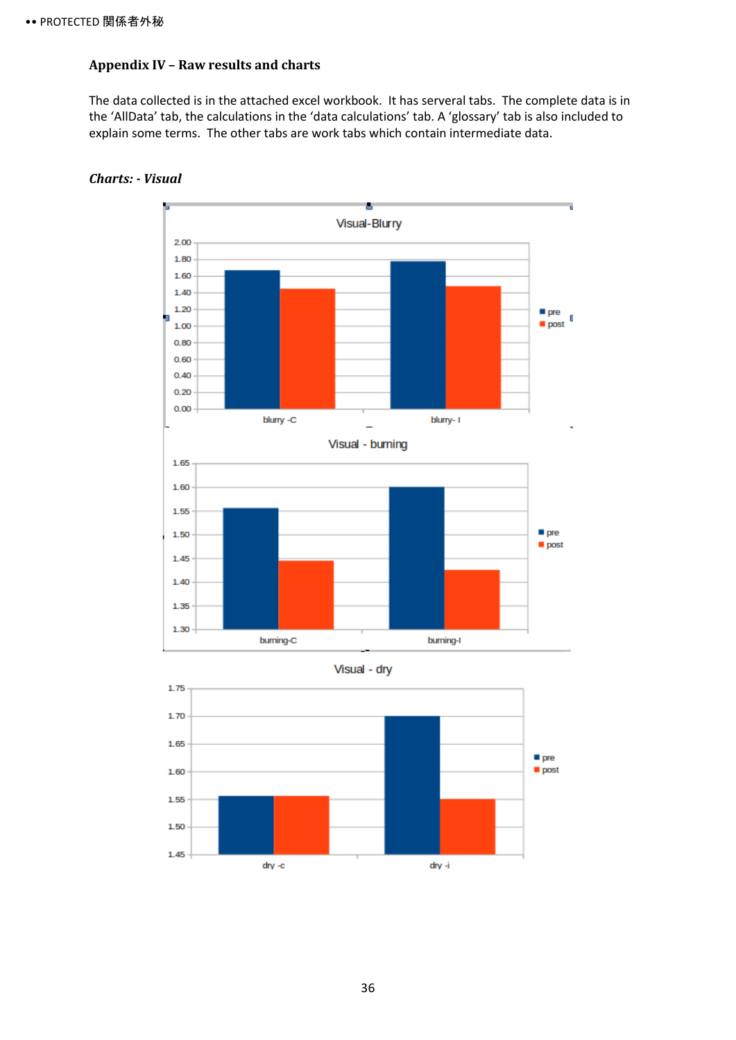### <span id="page-40-0"></span>**Appendix IV – Raw results and charts**

The data collected is in the attached excel workbook. It has serveral tabs. The complete data is in the 'AllData' tab, the calculations in the 'data calculations' tab. A 'glossary' tab is also included to explain some terms. The other tabs are work tabs which contain intermediate data.



#### <span id="page-40-1"></span>*Charts: - Visual*



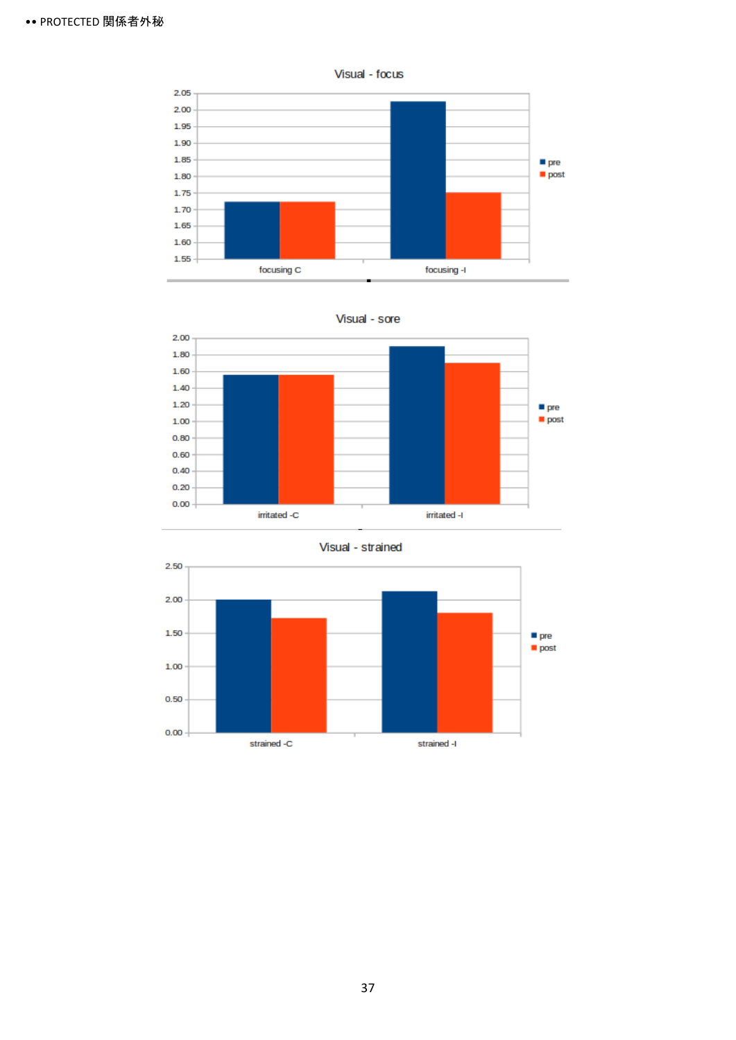









37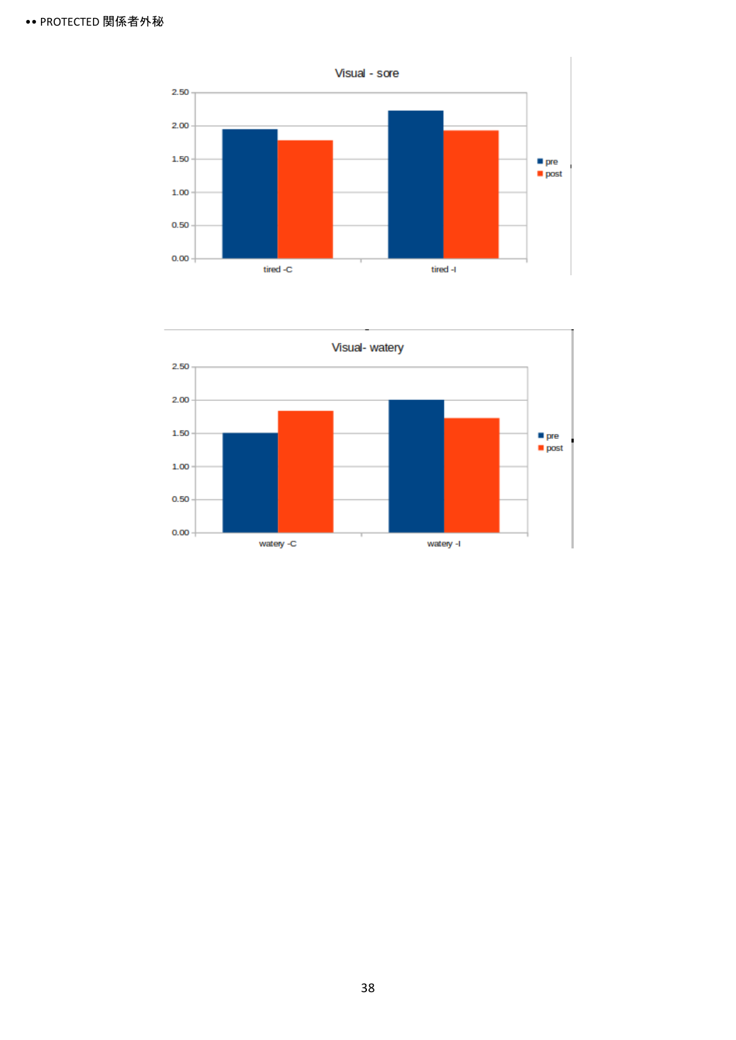

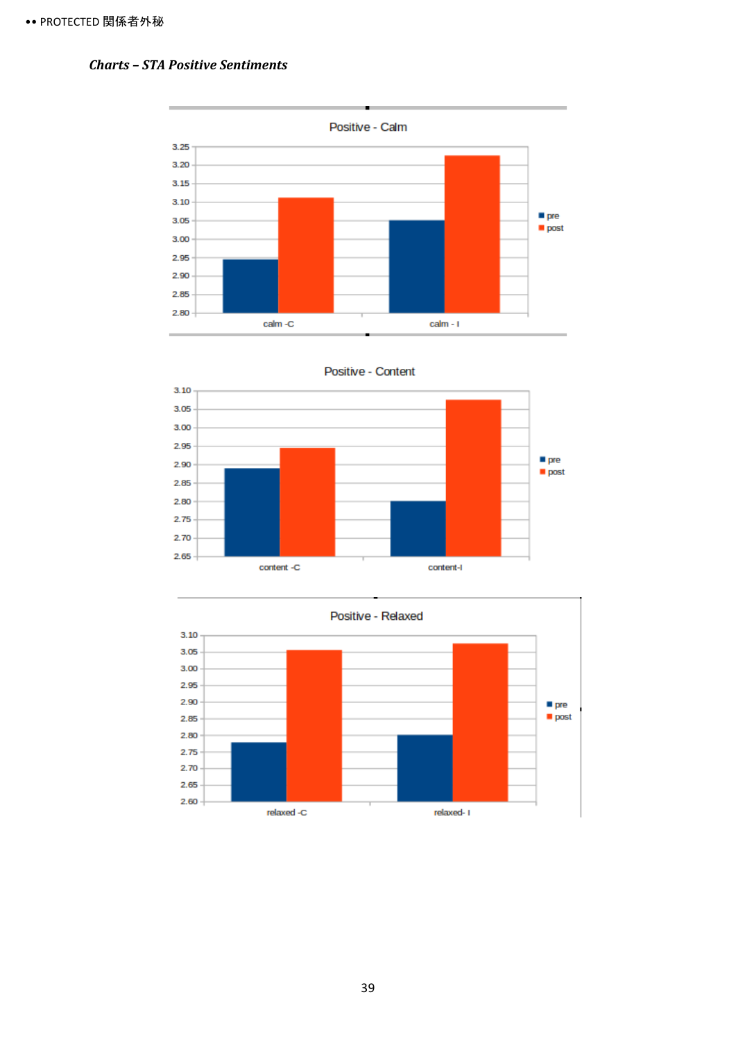#### <span id="page-43-0"></span>*Charts – STA Positive Sentiments*







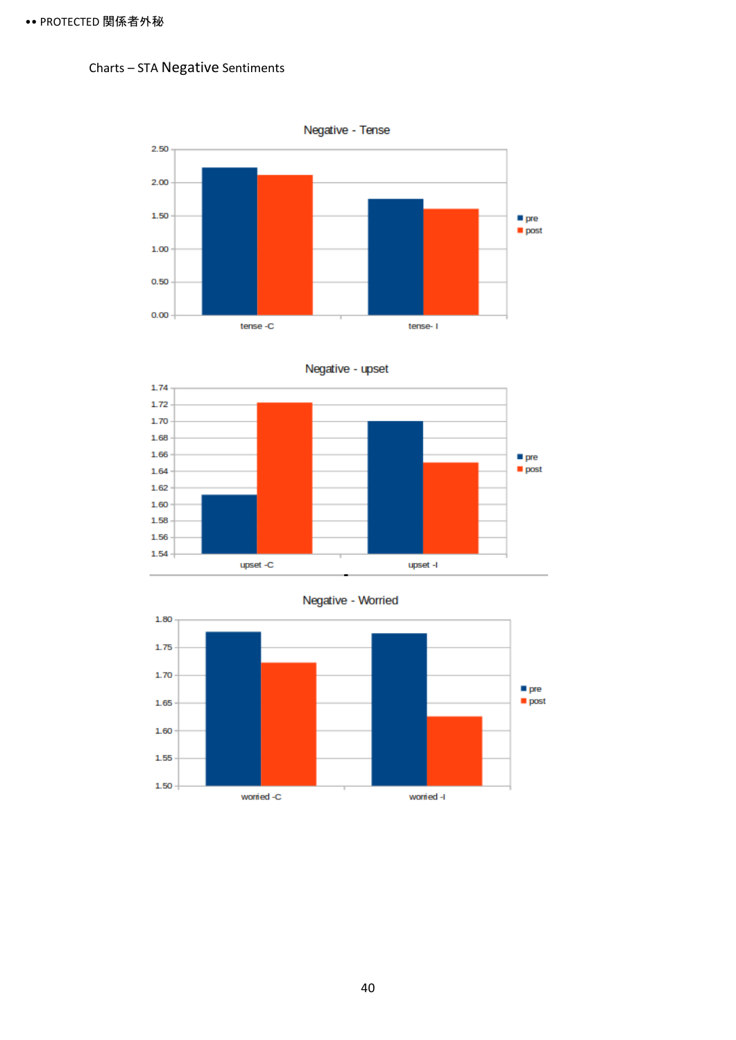### <span id="page-44-0"></span>Charts – STA Negative Sentiments





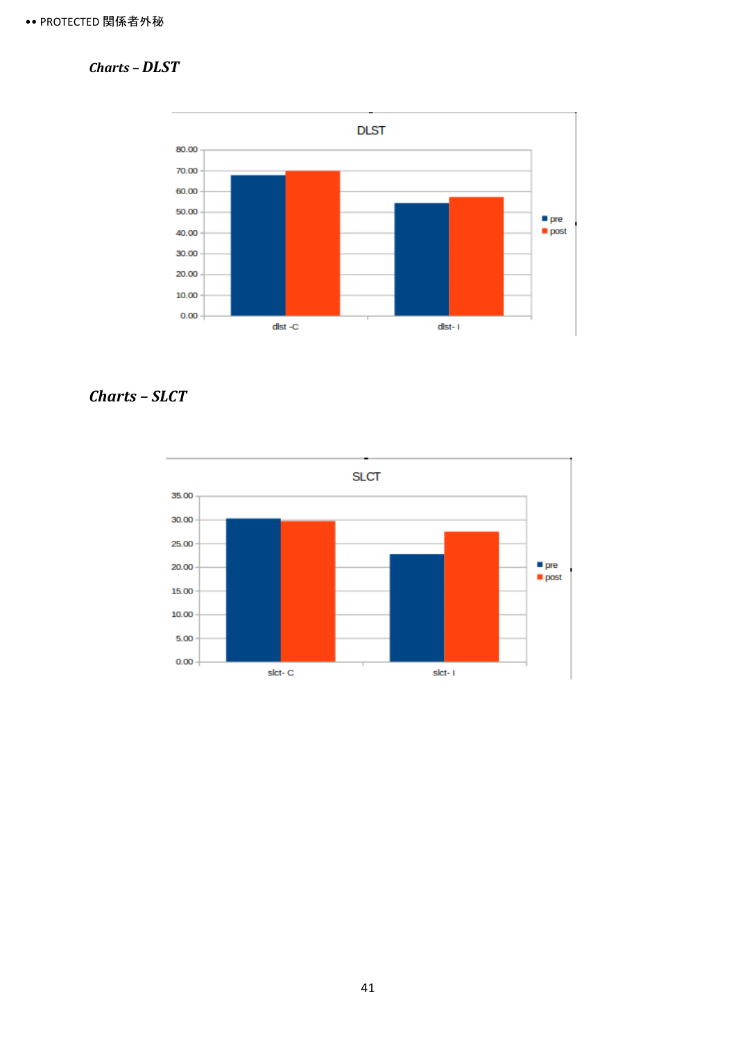### <span id="page-45-0"></span>*Charts – DLST*



### <span id="page-45-1"></span>*Charts – SLCT*

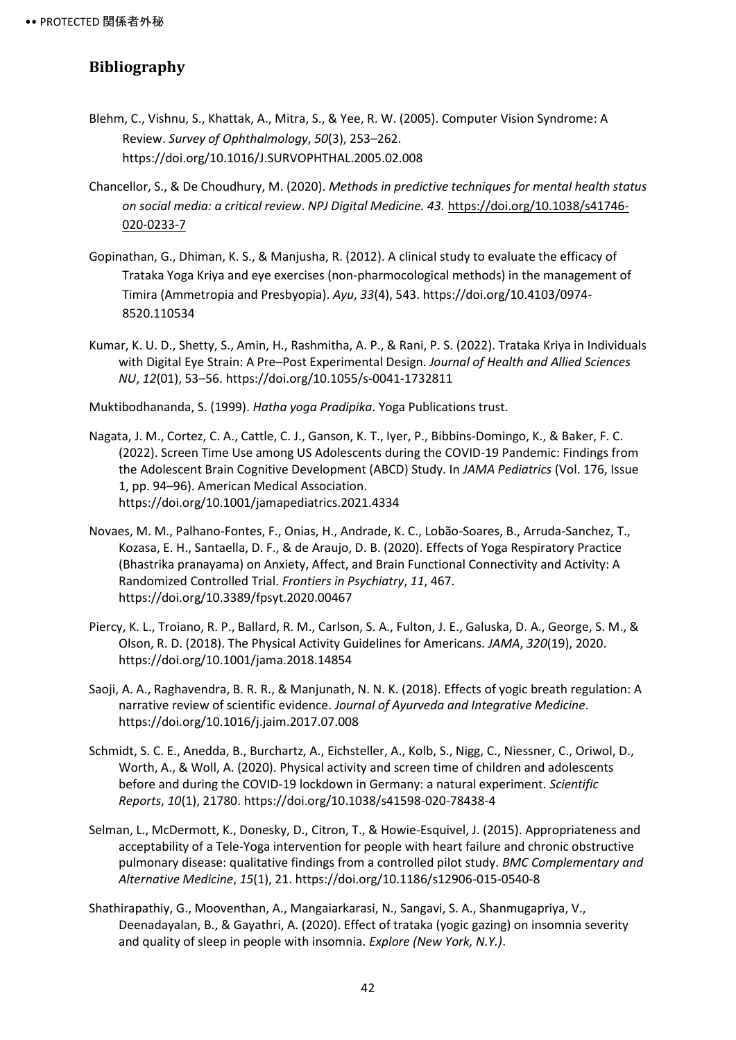### <span id="page-46-0"></span>**Bibliography**

- Blehm, C., Vishnu, S., Khattak, A., Mitra, S., & Yee, R. W. (2005). Computer Vision Syndrome: A Review. *Survey of Ophthalmology*, *50*(3), 253–262. https://doi.org/10.1016/J.SURVOPHTHAL.2005.02.008
- Chancellor, S., & De Choudhury, M. (2020). *Methods in predictive techniques for mental health status on social media: a critical review*. *NPJ Digital Medicine. 43.* [https://doi.org/10.1038/s41746-](https://doi.org/10.1038/s41746-020-0233-7) [020-0233-7](https://doi.org/10.1038/s41746-020-0233-7)
- Gopinathan, G., Dhiman, K. S., & Manjusha, R. (2012). A clinical study to evaluate the efficacy of Trataka Yoga Kriya and eye exercises (non-pharmocological methods) in the management of Timira (Ammetropia and Presbyopia). *Ayu*, *33*(4), 543. https://doi.org/10.4103/0974- 8520.110534
- Kumar, K. U. D., Shetty, S., Amin, H., Rashmitha, A. P., & Rani, P. S. (2022). Trataka Kriya in Individuals with Digital Eye Strain: A Pre–Post Experimental Design. *Journal of Health and Allied Sciences NU*, *12*(01), 53–56. https://doi.org/10.1055/s-0041-1732811

Muktibodhananda, S. (1999). *Hatha yoga Pradipika*. Yoga Publications trust.

- Nagata, J. M., Cortez, C. A., Cattle, C. J., Ganson, K. T., Iyer, P., Bibbins-Domingo, K., & Baker, F. C. (2022). Screen Time Use among US Adolescents during the COVID-19 Pandemic: Findings from the Adolescent Brain Cognitive Development (ABCD) Study. In *JAMA Pediatrics* (Vol. 176, Issue 1, pp. 94–96). American Medical Association. https://doi.org/10.1001/jamapediatrics.2021.4334
- Novaes, M. M., Palhano-Fontes, F., Onias, H., Andrade, K. C., Lobão-Soares, B., Arruda-Sanchez, T., Kozasa, E. H., Santaella, D. F., & de Araujo, D. B. (2020). Effects of Yoga Respiratory Practice (Bhastrika pranayama) on Anxiety, Affect, and Brain Functional Connectivity and Activity: A Randomized Controlled Trial. *Frontiers in Psychiatry*, *11*, 467. https://doi.org/10.3389/fpsyt.2020.00467
- Piercy, K. L., Troiano, R. P., Ballard, R. M., Carlson, S. A., Fulton, J. E., Galuska, D. A., George, S. M., & Olson, R. D. (2018). The Physical Activity Guidelines for Americans. *JAMA*, *320*(19), 2020. https://doi.org/10.1001/jama.2018.14854
- Saoji, A. A., Raghavendra, B. R. R., & Manjunath, N. N. K. (2018). Effects of yogic breath regulation: A narrative review of scientific evidence. *Journal of Ayurveda and Integrative Medicine*. https://doi.org/10.1016/j.jaim.2017.07.008
- Schmidt, S. C. E., Anedda, B., Burchartz, A., Eichsteller, A., Kolb, S., Nigg, C., Niessner, C., Oriwol, D., Worth, A., & Woll, A. (2020). Physical activity and screen time of children and adolescents before and during the COVID-19 lockdown in Germany: a natural experiment. *Scientific Reports*, *10*(1), 21780. https://doi.org/10.1038/s41598-020-78438-4
- Selman, L., McDermott, K., Donesky, D., Citron, T., & Howie-Esquivel, J. (2015). Appropriateness and acceptability of a Tele-Yoga intervention for people with heart failure and chronic obstructive pulmonary disease: qualitative findings from a controlled pilot study. *BMC Complementary and Alternative Medicine*, *15*(1), 21. https://doi.org/10.1186/s12906-015-0540-8
- Shathirapathiy, G., Mooventhan, A., Mangaiarkarasi, N., Sangavi, S. A., Shanmugapriya, V., Deenadayalan, B., & Gayathri, A. (2020). Effect of trataka (yogic gazing) on insomnia severity and quality of sleep in people with insomnia. *Explore (New York, N.Y.)*.